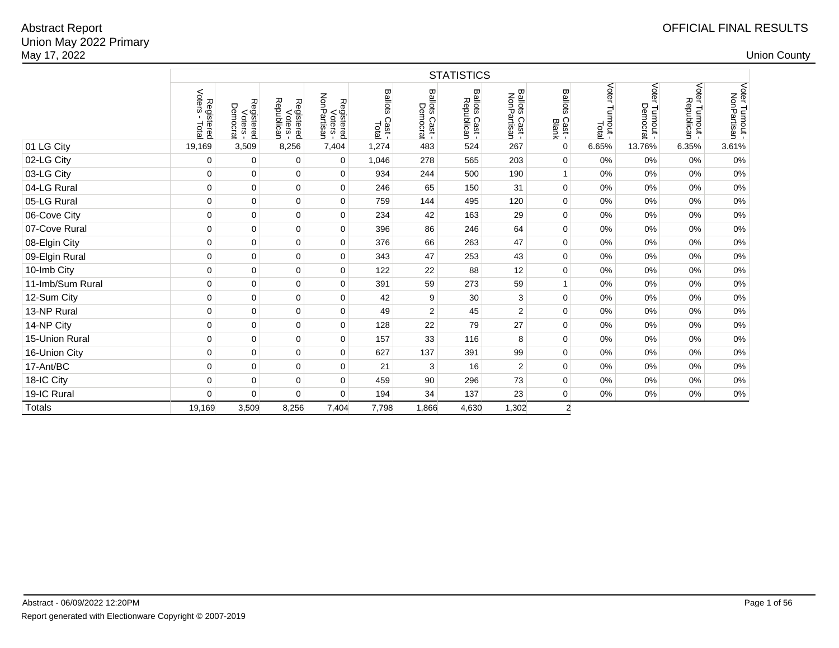Union May 2022 PrimaryMay 17, 20222 and the country of the country of the country of the country of the country of the country of the country of the country of the country of the country of the country of the country of the country of the country of the co Abstract Report

|                  |                               |                                    |                                      |                                       |                                  |                            | <b>STATISTICS</b>            |                               |                                   |                             |                             |                               |                                |
|------------------|-------------------------------|------------------------------------|--------------------------------------|---------------------------------------|----------------------------------|----------------------------|------------------------------|-------------------------------|-----------------------------------|-----------------------------|-----------------------------|-------------------------------|--------------------------------|
|                  | Voters<br>Registered<br>Total | Registered<br>Voters -<br>Democrat | Registered<br>Voters -<br>Republican | Registered<br>Voters -<br>NonPartisan | <b>Ballots</b><br>Cast-<br>Total | Ballots Cast -<br>Democrat | Ballots Cast -<br>Republican | Ballots Cast -<br>NonPartisan | <b>Ballots</b><br>Cast -<br>Blank | Voter<br>Turnout -<br>Total | Voter Turnout -<br>Democrat | Voter Turnout -<br>Republican | Voter Turnout -<br>NonPartisan |
| 01 LG City       | 19,169                        | 3,509                              | 8,256                                | 7,404                                 | 1,274                            | 483                        | 524                          | 267                           | $\mathbf 0$                       | 6.65%                       | 13.76%                      | 6.35%                         | 3.61%                          |
| 02-LG City       | 0                             | 0                                  | 0                                    | 0                                     | 1,046                            | 278                        | 565                          | 203                           | 0                                 | 0%                          | 0%                          | 0%                            | 0%                             |
| 03-LG City       | 0                             | 0                                  | $\pmb{0}$                            | 0                                     | 934                              | 244                        | 500                          | 190                           |                                   | 0%                          | 0%                          | 0%                            | $0\%$                          |
| 04-LG Rural      | 0                             | $\mathbf 0$                        | $\pmb{0}$                            | 0                                     | 246                              | 65                         | 150                          | 31                            | $\mathbf 0$                       | 0%                          | 0%                          | 0%                            | 0%                             |
| 05-LG Rural      | 0                             | 0                                  | 0                                    | 0                                     | 759                              | 144                        | 495                          | 120                           | 0                                 | 0%                          | 0%                          | 0%                            | $0\%$                          |
| 06-Cove City     | 0                             | 0                                  | 0                                    | 0                                     | 234                              | 42                         | 163                          | 29                            | 0                                 | 0%                          | 0%                          | 0%                            | 0%                             |
| 07-Cove Rural    | 0                             | 0                                  | 0                                    | $\mathbf 0$                           | 396                              | 86                         | 246                          | 64                            | 0                                 | 0%                          | 0%                          | 0%                            | 0%                             |
| 08-Elgin City    | 0                             | $\mathbf 0$                        | $\mathsf 0$                          | $\mathbf 0$                           | 376                              | 66                         | 263                          | 47                            | $\mathbf 0$                       | 0%                          | 0%                          | 0%                            | 0%                             |
| 09-Elgin Rural   | 0                             | 0                                  | $\mathbf 0$                          | $\mathbf 0$                           | 343                              | 47                         | 253                          | 43                            | $\mathbf 0$                       | 0%                          | 0%                          | 0%                            | 0%                             |
| 10-Imb City      | 0                             | $\mathbf 0$                        | $\mathsf 0$                          | $\mathbf 0$                           | 122                              | 22                         | 88                           | 12                            | $\mathbf 0$                       | 0%                          | 0%                          | 0%                            | $0\%$                          |
| 11-Imb/Sum Rural | 0                             | $\mathbf 0$                        | $\pmb{0}$                            | $\mathbf 0$                           | 391                              | 59                         | 273                          | 59                            | $\mathbf{1}$                      | 0%                          | 0%                          | 0%                            | 0%                             |
| 12-Sum City      | 0                             | $\mathbf 0$                        | $\pmb{0}$                            | 0                                     | 42                               | 9                          | 30                           | 3                             | $\mathbf 0$                       | 0%                          | 0%                          | 0%                            | $0\%$                          |
| 13-NP Rural      | 0                             | $\mathbf 0$                        | $\pmb{0}$                            | $\mathbf 0$                           | 49                               | 2                          | 45                           | $\overline{c}$                | 0                                 | 0%                          | 0%                          | 0%                            | $0\%$                          |
| 14-NP City       | 0                             | 0                                  | 0                                    | 0                                     | 128                              | 22                         | 79                           | 27                            | $\mathbf 0$                       | 0%                          | 0%                          | 0%                            | $0\%$                          |
| 15-Union Rural   | 0                             | 0                                  | $\pmb{0}$                            | $\mathbf 0$                           | 157                              | 33                         | 116                          | 8                             | 0                                 | 0%                          | 0%                          | 0%                            | $0\%$                          |
| 16-Union City    | 0                             | $\mathbf 0$                        | 0                                    | $\mathbf 0$                           | 627                              | 137                        | 391                          | 99                            | 0                                 | 0%                          | 0%                          | 0%                            | 0%                             |
| 17-Ant/BC        | 0                             | $\mathbf 0$                        | 0                                    | 0                                     | 21                               | 3                          | 16                           | $\mathbf{2}$                  | 0                                 | 0%                          | 0%                          | 0%                            | 0%                             |
| 18-IC City       | 0                             | 0                                  | 0                                    | 0                                     | 459                              | 90                         | 296                          | 73                            | 0                                 | 0%                          | 0%                          | 0%                            | 0%                             |
| 19-IC Rural      | 0                             | $\mathbf 0$                        | 0                                    | $\mathbf 0$                           | 194                              | 34                         | 137                          | 23                            | 0                                 | 0%                          | 0%                          | 0%                            | 0%                             |
| <b>Totals</b>    | 19,169                        | 3,509                              | 8,256                                | 7,404                                 | 7,798                            | 1,866                      | 4,630                        | 1,302                         | $\overline{c}$                    |                             |                             |                               |                                |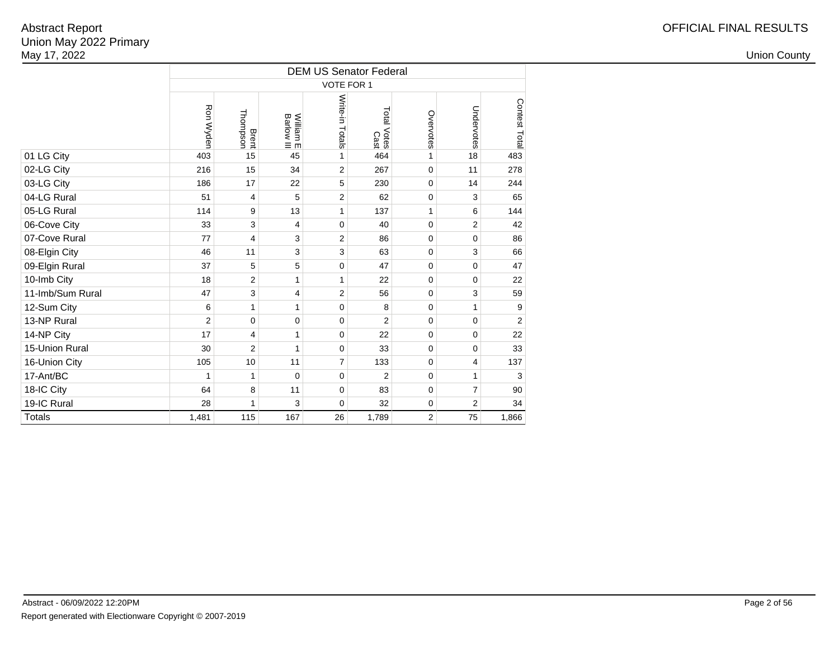|                  |                |                           |                         | <b>DEM US Senator Federal</b> |                     |                |             |                |
|------------------|----------------|---------------------------|-------------------------|-------------------------------|---------------------|----------------|-------------|----------------|
|                  |                |                           |                         | VOTE FOR 1                    |                     |                |             |                |
|                  | Ron Wyden      | Brent<br>Thompson         | William E<br>Barlow III | Write-in Totals               | Total Votes<br>Cast | Overvotes      | Undervotes  | Contest Total  |
| 01 LG City       | 403            | 15                        | 45                      | 1                             | 464                 | $\mathbf{1}$   | 18          | 483            |
| 02-LG City       | 216            | 15                        | 34                      | $\overline{2}$                | 267                 | $\mathbf 0$    | 11          | 278            |
| 03-LG City       | 186            | 17                        | 22                      | 5                             | 230                 | $\mathbf 0$    | 14          | 244            |
| 04-LG Rural      | 51             | 4                         | 5                       | $\overline{2}$                | 62                  | $\mathbf 0$    | 3           | 65             |
| 05-LG Rural      | 114            | 9                         | 13                      | $\mathbf{1}$                  | 137                 | $\mathbf{1}$   | 6           | 144            |
| 06-Cove City     | 33             | 3                         | 4                       | $\mathbf 0$                   | 40                  | 0              | 2           | 42             |
| 07-Cove Rural    | 77             | $\overline{4}$            | 3                       | $\overline{2}$                | 86                  | $\mathbf 0$    | 0           | 86             |
| 08-Elgin City    | 46             | 11                        | 3                       | 3                             | 63                  | $\mathbf 0$    | 3           | 66             |
| 09-Elgin Rural   | 37             | 5                         | 5                       | $\mathbf 0$                   | 47                  | $\mathbf 0$    | 0           | 47             |
| 10-Imb City      | 18             | $\overline{2}$            | 1                       | 1                             | 22                  | $\mathbf 0$    | 0           | 22             |
| 11-Imb/Sum Rural | 47             | $\ensuremath{\mathsf{3}}$ | 4                       | $\overline{2}$                | 56                  | 0              | 3           | 59             |
| 12-Sum City      | 6              | $\mathbf{1}$              | 1                       | $\mathbf 0$                   | 8                   | $\mathbf 0$    | 1           | 9              |
| 13-NP Rural      | $\overline{2}$ | $\mathbf 0$               | $\mathbf 0$             | $\mathbf 0$                   | $\overline{2}$      | $\mathbf 0$    | $\mathbf 0$ | $\overline{2}$ |
| 14-NP City       | 17             | 4                         | 1                       | $\mathbf 0$                   | 22                  | $\mathbf 0$    | 0           | 22             |
| 15-Union Rural   | 30             | $\overline{2}$            | 1                       | $\mathbf 0$                   | 33                  | 0              | 0           | 33             |
| 16-Union City    | 105            | 10                        | 11                      | $\overline{7}$                | 133                 | $\mathbf 0$    | 4           | 137            |
| 17-Ant/BC        | 1              | 1                         | $\mathbf 0$             | $\mathbf 0$                   | $\overline{2}$      | $\mathbf 0$    | 1           | 3              |
| 18-IC City       | 64             | 8                         | 11                      | $\mathbf 0$                   | 83                  | $\mathbf 0$    | 7           | 90             |
| 19-IC Rural      | 28             | 1                         | 3                       | $\mathbf 0$                   | 32                  | $\mathbf 0$    | 2           | 34             |
| <b>Totals</b>    | 1,481          | 115                       | 167                     | 26                            | 1,789               | $\overline{2}$ | 75          | 1,866          |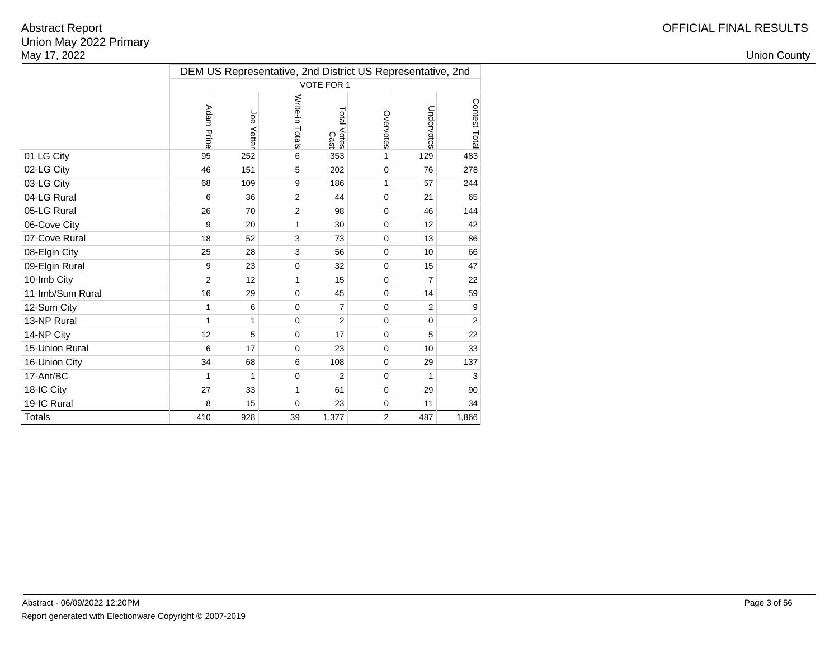|                  |                |               |                 |                     |                | DEM US Representative, 2nd District US Representative, 2nd |                |
|------------------|----------------|---------------|-----------------|---------------------|----------------|------------------------------------------------------------|----------------|
|                  |                |               |                 | VOTE FOR 1          |                |                                                            |                |
|                  | Adam Prine     | aor<br>Yetter | Write-in Totals | Total Votes<br>Cast | Overvotes      | Undervotes                                                 | Contest Total  |
| 01 LG City       | 95             | 252           | 6               | 353                 | 1              | 129                                                        | 483            |
| 02-LG City       | 46             | 151           | 5               | 202                 | $\mathbf 0$    | 76                                                         | 278            |
| 03-LG City       | 68             | 109           | 9               | 186                 | 1              | 57                                                         | 244            |
| 04-LG Rural      | 6              | 36            | $\overline{2}$  | 44                  | 0              | 21                                                         | 65             |
| 05-LG Rural      | 26             | 70            | $\overline{2}$  | 98                  | $\Omega$       | 46                                                         | 144            |
| 06-Cove City     | 9              | 20            | 1               | 30                  | $\Omega$       | 12                                                         | 42             |
| 07-Cove Rural    | 18             | 52            | 3               | 73                  | $\mathbf 0$    | 13                                                         | 86             |
| 08-Elgin City    | 25             | 28            | 3               | 56                  | $\mathbf 0$    | 10                                                         | 66             |
| 09-Elgin Rural   | 9              | 23            | 0               | 32                  | $\Omega$       | 15                                                         | 47             |
| 10-Imb City      | $\overline{2}$ | 12            | 1               | 15                  | $\Omega$       | $\overline{7}$                                             | 22             |
| 11-Imb/Sum Rural | 16             | 29            | $\mathbf 0$     | 45                  | $\Omega$       | 14                                                         | 59             |
| 12-Sum City      | 1              | 6             | 0               | $\overline{7}$      | $\Omega$       | 2                                                          | 9              |
| 13-NP Rural      | 1              | 1             | 0               | $\overline{2}$      | $\Omega$       | $\mathbf 0$                                                | $\overline{2}$ |
| 14-NP City       | 12             | 5             | $\mathbf 0$     | 17                  | $\mathbf 0$    | 5                                                          | 22             |
| 15-Union Rural   | 6              | 17            | 0               | 23                  | $\mathbf 0$    | 10                                                         | 33             |
| 16-Union City    | 34             | 68            | 6               | 108                 | $\mathbf 0$    | 29                                                         | 137            |
| 17-Ant/BC        | 1              | 1             | 0               | 2                   | $\Omega$       | 1                                                          | 3              |
| 18-IC City       | 27             | 33            | 1               | 61                  | $\mathbf 0$    | 29                                                         | 90             |
| 19-IC Rural      | 8              | 15            | 0               | 23                  | $\mathbf 0$    | 11                                                         | 34             |
| <b>Totals</b>    | 410            | 928           | 39              | 1,377               | $\overline{2}$ | 487                                                        | 1,866          |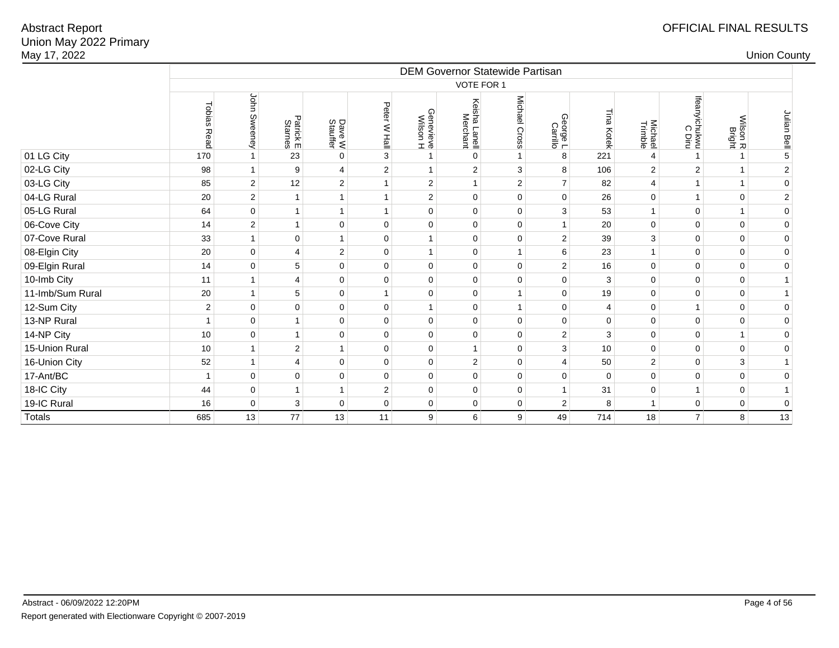| May 17, 2022     |                |                     |                  |                     |                |                       |                                  |                                        |                                  |             |                    |                         |                    | <b>Union County</b> |
|------------------|----------------|---------------------|------------------|---------------------|----------------|-----------------------|----------------------------------|----------------------------------------|----------------------------------|-------------|--------------------|-------------------------|--------------------|---------------------|
|                  |                |                     |                  |                     |                |                       |                                  | <b>DEM Governor Statewide Partisan</b> |                                  |             |                    |                         |                    |                     |
|                  |                |                     |                  |                     |                |                       | VOTE FOR 1                       |                                        |                                  |             |                    |                         |                    |                     |
|                  | Tobias Read    | John Sweeney        | Patrick E        | Dave W<br>Stauffer  | Peter W Hall   | Genevieve<br>Wilson H | Keisha<br>sha Lanell<br>Merchant | Michael Cross                          | ⋒<br><b>Peorge L</b><br>Carrillo | Tina Kotek  | Michael<br>Trimble | Ifeanyichukwu<br>C Diru | Wilson R<br>Bright | Julian Bell         |
| 01 LG City       | 170            | $\mathbf{1}$        | 23               | $\mathbf 0$         | 3              | $\mathbf{1}$          | $\mathbf 0$                      |                                        | 8                                | 221         | 4                  | $\mathbf{1}$            |                    | $\mathbf 5$         |
| 02-LG City       | 98             | $\mathbf{1}$        | $\boldsymbol{9}$ | $\overline{4}$      | 2              | $\mathbf{1}$          | $\overline{2}$                   | 3                                      | 8                                | 106         | $\overline{2}$     | $\overline{2}$          | $\mathbf{1}$       | $\sqrt{2}$          |
| 03-LG City       | 85             | $\overline{2}$      | 12               | $\mathbf 2$         | $\mathbf{1}$   | 2                     | $\mathbf{1}$                     | 2                                      | $\overline{7}$                   | 82          | $\overline{4}$     | $\mathbf{1}$            | $\mathbf{1}$       | $\pmb{0}$           |
| 04-LG Rural      | 20             | $\overline{2}$      | $\mathbf{1}$     | $\mathbf{1}$        | $\overline{1}$ | $\overline{2}$        | $\Omega$                         | $\mathbf 0$                            | $\Omega$                         | 26          | $\pmb{0}$          | $\mathbf{1}$            | $\mathbf 0$        | $\overline{2}$      |
| 05-LG Rural      | 64             | $\pmb{0}$           | $\mathbf{1}$     | $\mathbf{1}$        | $\mathbf{1}$   | $\mathbf{0}$          | $\mathbf 0$                      | $\mathbf 0$                            | 3                                | 53          | $\mathbf{1}$       | $\pmb{0}$               | $\mathbf{1}$       | $\pmb{0}$           |
| 06-Cove City     | 14             | $\mathbf 2$         | $\mathbf{1}$     | $\pmb{0}$           | $\mathbf 0$    | $\Omega$              | $\Omega$                         | $\mathbf 0$                            | $\mathbf{1}$                     | 20          | $\mathbf 0$        | $\pmb{0}$               | $\pmb{0}$          | $\pmb{0}$           |
| 07-Cove Rural    | 33             | $\mathbf{1}$        | $\mathbf 0$      | $\mathbf{1}$        | $\mathbf 0$    | 1                     | $\mathbf 0$                      | $\mathbf 0$                            | $\overline{2}$                   | 39          | 3                  | $\mathbf 0$             | $\mathbf 0$        | $\mathbf 0$         |
| 08-Elgin City    | 20             | $\mathbf 0$         | $\overline{4}$   | $\mathbf 2$         | $\mathbf 0$    | $\mathbf{1}$          | $\Omega$                         |                                        | 6                                | 23          | $\mathbf{1}$       | $\mathbf 0$             | $\mathbf 0$        | $\mathbf 0$         |
| 09-Elgin Rural   | 14             | $\pmb{0}$           | 5                | 0                   | $\mathbf 0$    | $\mathbf 0$           | $\mathbf 0$                      | $\mathbf 0$                            | $\mathbf{2}$                     | 16          | $\mathbf 0$        | $\mathbf 0$             | $\mathsf 0$        | $\mathbf 0$         |
| 10-Imb City      | 11             | $\mathbf{1}$        | $\overline{4}$   | $\mathsf 0$         | $\mathbf 0$    | $\Omega$              | $\Omega$                         | $\Omega$                               | $\mathbf 0$                      | 3           | $\mathbf 0$        | $\mathbf 0$             | $\mathsf 0$        | $\mathbf{1}$        |
| 11-Imb/Sum Rural | 20             | $\mathbf{1}$        | 5                | $\pmb{0}$           | $\overline{1}$ | $\mathbf 0$           | $\mathbf 0$                      |                                        | $\mathbf 0$                      | 19          | $\pmb{0}$          | $\pmb{0}$               | $\pmb{0}$          | $\mathbf{1}$        |
| 12-Sum City      | $\overline{2}$ | $\mathbf 0$         | $\mathbf 0$      | $\mathsf 0$         | $\mathbf 0$    | $\mathbf{1}$          | $\mathbf 0$                      |                                        | $\mathbf 0$                      | 4           | $\mathbf 0$        | $\mathbf{1}$            | $\mathbf 0$        | $\mathbf 0$         |
| 13-NP Rural      |                | $\mathsf{O}\xspace$ | $\mathbf{1}$     | $\pmb{0}$           | $\mathbf 0$    | $\mathbf{0}$          | $\mathbf 0$                      | $\mathbf 0$                            | $\pmb{0}$                        | $\mathbf 0$ | $\pmb{0}$          | $\pmb{0}$               | $\pmb{0}$          | $\pmb{0}$           |
| 14-NP City       | 10             | $\mathbf 0$         | $\mathbf{1}$     | $\mathbf 0$         | $\mathbf 0$    | $\mathbf 0$           | $\Omega$                         | $\mathbf 0$                            | 2                                | 3           | $\mathbf 0$        | $\mathbf 0$             | $\mathbf{1}$       | $\mathbf 0$         |
| 15-Union Rural   | 10             | $\mathbf{1}$        | $\overline{c}$   | $\mathbf{1}$        | $\mathbf 0$    | $\mathbf 0$           | $\mathbf{1}$                     | $\mathbf 0$                            | 3                                | 10          | $\pmb{0}$          | $\pmb{0}$               | $\pmb{0}$          | $\mathbf 0$         |
| 16-Union City    | 52             | $\mathbf{1}$        | $\overline{4}$   | $\mathsf{O}\xspace$ | $\mathbf 0$    | $\mathbf 0$           | 2                                | $\mathbf 0$                            | $\overline{4}$                   | 50          | $\overline{2}$     | $\mathbf 0$             | $\mathbf{3}$       | $\mathbf{1}$        |
| 17-Ant/BC        |                | $\pmb{0}$           | $\pmb{0}$        | 0                   | $\mathbf 0$    | $\mathbf{0}$          | $\Omega$                         | $\mathbf 0$                            | $\pmb{0}$                        | $\Omega$    | $\pmb{0}$          | $\pmb{0}$               | $\mathsf 0$        | $\pmb{0}$           |
| 18-IC City       | 44             | $\pmb{0}$           | $\mathbf{1}$     | $\mathbf{1}$        | $\overline{2}$ | $\mathbf 0$           | $\mathbf 0$                      | $\mathbf 0$                            | $\mathbf{1}$                     | 31          | 0                  | $\mathbf{1}$            | $\mathsf 0$        | $\mathbf{1}$        |
| 19-IC Rural      | 16             | $\pmb{0}$           | 3                | $\mathsf 0$         | $\mathbf 0$    | $\mathbf 0$           | $\mathbf{0}$                     | $\mathbf 0$                            | $\overline{2}$                   | 8           | $\mathbf{1}$       | $\pmb{0}$               | $\mathbf 0$        | $\mathbf 0$         |
| Totals           | 685            | 13                  | 77               | 13                  | 11             | 9 <sup>°</sup>        | 6                                | 9                                      | 49                               | 714         | 18                 | 7 <sup>1</sup>          | 8                  | 13                  |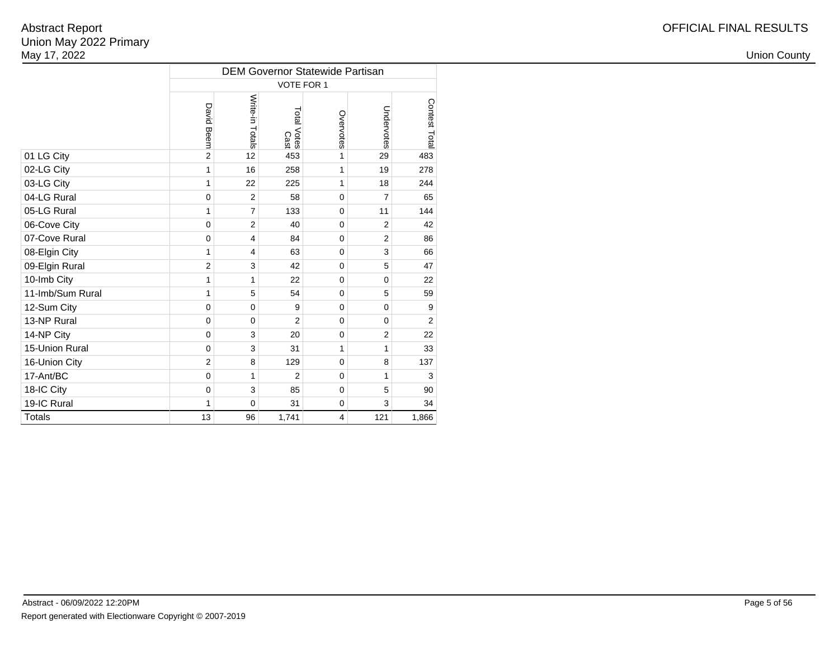|                  |                |                 | <b>DEM Governor Statewide Partisan</b> |                         |                |                |
|------------------|----------------|-----------------|----------------------------------------|-------------------------|----------------|----------------|
|                  |                |                 | VOTE FOR 1                             |                         |                |                |
|                  | David Beem     | Write-in Totals | Total Votes<br>Cast                    | Overvotes               | Undervotes     | Contest Total  |
| 01 LG City       | $\overline{2}$ | 12              | 453                                    | 1                       | 29             | 483            |
| 02-LG City       | 1              | 16              | 258                                    | 1                       | 19             | 278            |
| 03-LG City       | 1              | 22              | 225                                    | 1                       | 18             | 244            |
| 04-LG Rural      | $\mathbf 0$    | $\overline{2}$  | 58                                     | $\mathbf 0$             | $\overline{7}$ | 65             |
| 05-LG Rural      | 1              | $\overline{7}$  | 133                                    | 0                       | 11             | 144            |
| 06-Cove City     | $\mathbf 0$    | $\overline{2}$  | 40                                     | $\Omega$                | $\overline{2}$ | 42             |
| 07-Cove Rural    | $\mathbf 0$    | 4               | 84                                     | 0                       | $\overline{2}$ | 86             |
| 08-Elgin City    | 1              | 4               | 63                                     | 0                       | 3              | 66             |
| 09-Elgin Rural   | $\overline{2}$ | 3               | 42                                     | 0                       | 5              | 47             |
| 10-Imb City      | 1              | 1               | 22                                     | $\Omega$                | $\Omega$       | 22             |
| 11-Imb/Sum Rural | 1              | 5               | 54                                     | $\Omega$                | 5              | 59             |
| 12-Sum City      | $\mathbf 0$    | $\mathbf 0$     | 9                                      | $\mathbf 0$             | $\mathbf 0$    | 9              |
| 13-NP Rural      | $\mathbf 0$    | $\mathbf 0$     | $\overline{2}$                         | $\Omega$                | $\Omega$       | $\overline{2}$ |
| 14-NP City       | $\mathbf 0$    | 3               | 20                                     | 0                       | $\overline{c}$ | 22             |
| 15-Union Rural   | $\mathbf 0$    | 3               | 31                                     | 1                       | 1              | 33             |
| 16-Union City    | $\overline{2}$ | 8               | 129                                    | $\mathbf 0$             | 8              | 137            |
| 17-Ant/BC        | $\mathbf 0$    | 1               | $\overline{2}$                         | $\Omega$                | 1              | 3              |
| 18-IC City       | $\mathbf 0$    | 3               | 85                                     | $\mathbf 0$             | 5              | 90             |
| 19-IC Rural      | 1              | $\mathbf 0$     | 31                                     | $\mathbf 0$             | 3              | 34             |
| <b>Totals</b>    | 13             | 96              | 1,741                                  | $\overline{\mathbf{4}}$ | 121            | 1,866          |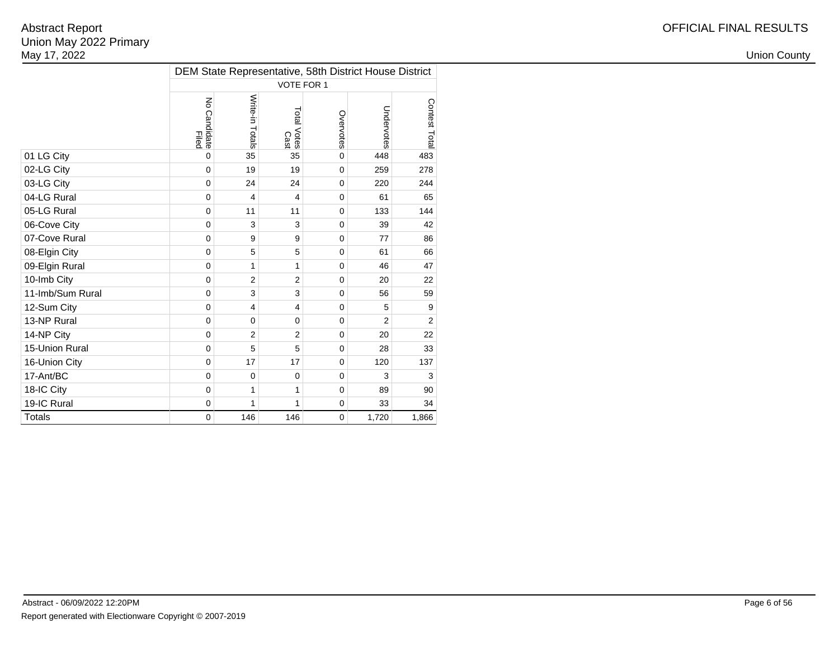|                  |                                        |                 |                     |             | DEM State Representative, 58th District House District |                |
|------------------|----------------------------------------|-----------------|---------------------|-------------|--------------------------------------------------------|----------------|
|                  |                                        |                 | <b>VOTE FOR 1</b>   |             |                                                        |                |
|                  | $\overline{5}$<br>o Candidate<br>Filed | Write-in Totals | Total Votes<br>Cast | Overvotes   | Undervotes                                             | Contest Total  |
| 01 LG City       | $\mathbf 0$                            | 35              | 35                  | $\mathbf 0$ | 448                                                    | 483            |
| 02-LG City       | $\Omega$                               | 19              | 19                  | $\Omega$    | 259                                                    | 278            |
| 03-LG City       | $\mathbf 0$                            | 24              | 24                  | $\mathbf 0$ | 220                                                    | 244            |
| 04-LG Rural      | $\mathbf 0$                            | 4               | $\overline{4}$      | $\mathbf 0$ | 61                                                     | 65             |
| 05-LG Rural      | $\mathbf 0$                            | 11              | 11                  | $\mathbf 0$ | 133                                                    | 144            |
| 06-Cove City     | $\mathbf 0$                            | 3               | 3                   | $\mathbf 0$ | 39                                                     | 42             |
| 07-Cove Rural    | $\mathbf 0$                            | 9               | 9                   | $\mathbf 0$ | 77                                                     | 86             |
| 08-Elgin City    | $\mathbf 0$                            | 5               | 5                   | $\mathbf 0$ | 61                                                     | 66             |
| 09-Elgin Rural   | $\Omega$                               | 1               | 1                   | $\Omega$    | 46                                                     | 47             |
| 10-Imb City      | $\mathbf 0$                            | $\overline{2}$  | $\overline{2}$      | $\mathbf 0$ | 20                                                     | 22             |
| 11-Imb/Sum Rural | $\mathbf 0$                            | 3               | 3                   | $\mathbf 0$ | 56                                                     | 59             |
| 12-Sum City      | $\mathbf 0$                            | 4               | $\overline{4}$      | $\mathbf 0$ | 5                                                      | 9              |
| 13-NP Rural      | $\mathbf 0$                            | $\mathbf 0$     | $\mathbf 0$         | $\mathbf 0$ | $\overline{2}$                                         | $\overline{2}$ |
| 14-NP City       | $\mathbf 0$                            | $\overline{2}$  | $\overline{2}$      | $\mathbf 0$ | 20                                                     | 22             |
| 15-Union Rural   | $\mathbf 0$                            | 5               | 5                   | $\mathbf 0$ | 28                                                     | 33             |
| 16-Union City    | $\mathbf 0$                            | 17              | 17                  | $\mathbf 0$ | 120                                                    | 137            |
| 17-Ant/BC        | $\mathbf 0$                            | $\mathbf 0$     | $\mathbf 0$         | $\mathbf 0$ | 3                                                      | 3              |
| 18-IC City       | $\mathbf 0$                            | 1               | 1                   | $\mathbf 0$ | 89                                                     | 90             |
| 19-IC Rural      | $\mathbf 0$                            | 1               | 1                   | $\mathbf 0$ | 33                                                     | 34             |
| <b>Totals</b>    | $\mathbf 0$                            | 146             | 146                 | $\mathbf 0$ | 1,720                                                  | 1,866          |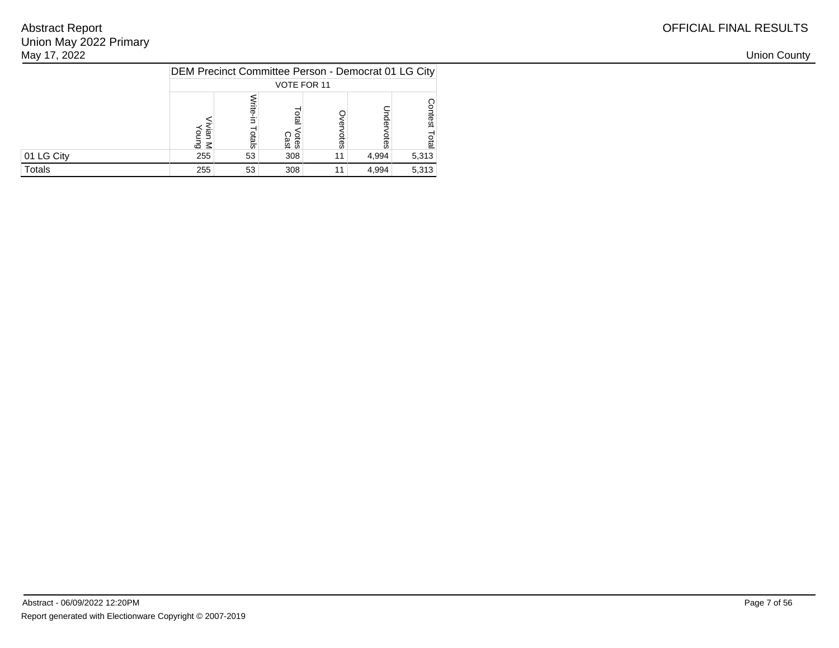| May 17, 2022 |                                                     |     |              |                 |       |       |
|--------------|-----------------------------------------------------|-----|--------------|-----------------|-------|-------|
|              | DEM Precinct Committee Person - Democrat 01 LG City |     |              |                 |       |       |
|              |                                                     |     | VOTE FOR 11  |                 |       |       |
|              | డ ≤                                                 | မှူ | otes<br>Cast | ĝ               | ලි    |       |
| 01 LG City   | 255                                                 | 53  | 308          | 11 <sub>1</sub> | 4,994 | 5,313 |
| Totals       | 255                                                 | 53  | 308          | 11              | 4,994 | 5,313 |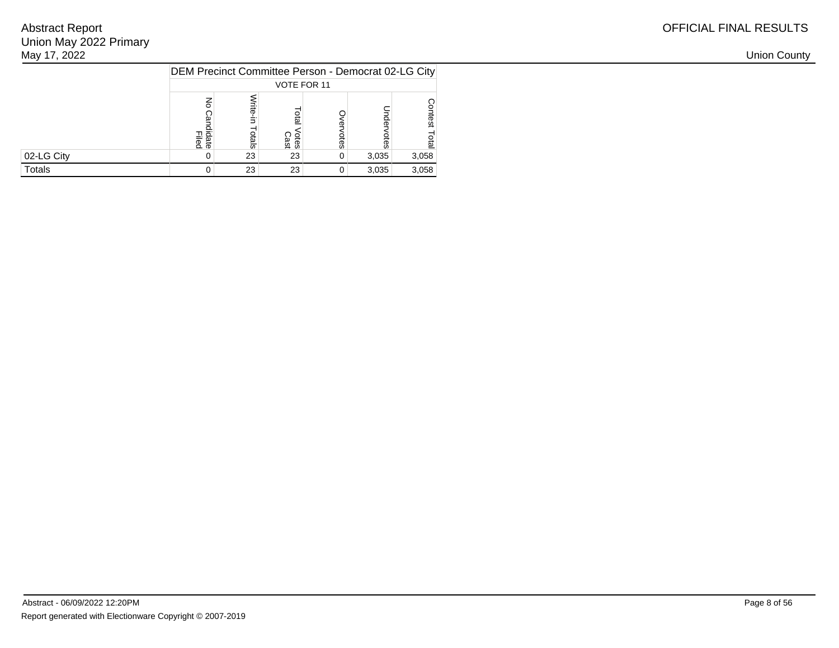| May 17, 2022 |                                                     |    |              |    |       |       |
|--------------|-----------------------------------------------------|----|--------------|----|-------|-------|
|              | DEM Precinct Committee Person - Democrat 02-LG City |    |              |    |       |       |
|              |                                                     |    | VOTE FOR 11  |    |       |       |
|              | lidate<br>Filed                                     |    | otes<br>Cast | ēS | ಹ     | ës.   |
| 02-LG City   |                                                     | 23 | 23           | 0  | 3,035 | 3,058 |
| Totals       |                                                     | 23 | 23           | 0  | 3,035 | 3,058 |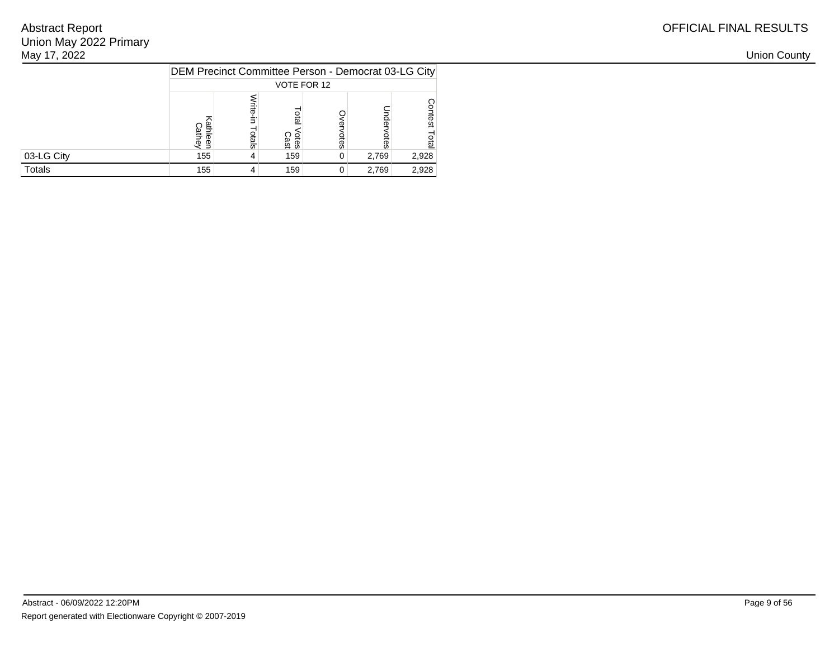|               |            |                |                   |           | DEM Precinct Committee Person - Democrat 03-LG City |                            |
|---------------|------------|----------------|-------------------|-----------|-----------------------------------------------------|----------------------------|
|               |            |                | VOTE FOR 12       |           |                                                     |                            |
|               | athey<br>σ | lite.<br>otals | ទី<br>otes<br>äst | ወ<br>otes | ā<br>otes                                           | O<br>ontest<br><b>Tota</b> |
| 03-LG City    | 155        |                | 159               |           | 2,769                                               | 2,928                      |
| <b>Totals</b> | 155        |                | 159               |           | 2,769                                               | 2,928                      |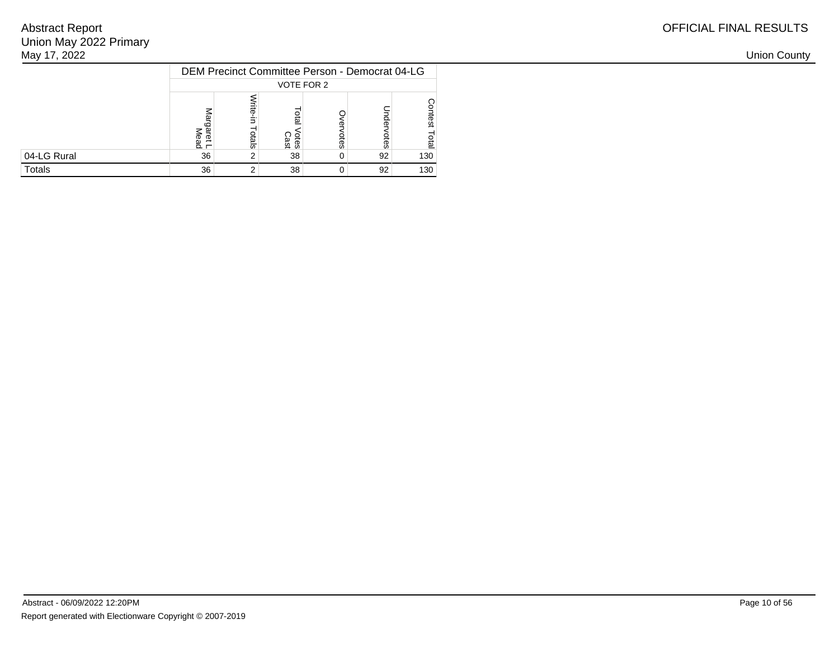| May 17, 2022 |                                                |          |                     |    |    |     |
|--------------|------------------------------------------------|----------|---------------------|----|----|-----|
|              | DEM Precinct Committee Person - Democrat 04-LG |          |                     |    |    |     |
|              |                                                |          | VOTE FOR 2          |    |    |     |
|              | $\Omega$ $\Gamma$                              | <u>რ</u> | <b>Otes</b><br>Cast | ĝS | ௨  |     |
| 04-LG Rural  | 36                                             |          | 38                  | 0  | 92 | 130 |
| Totals       | 36                                             |          | 38                  | 0  | 92 | 130 |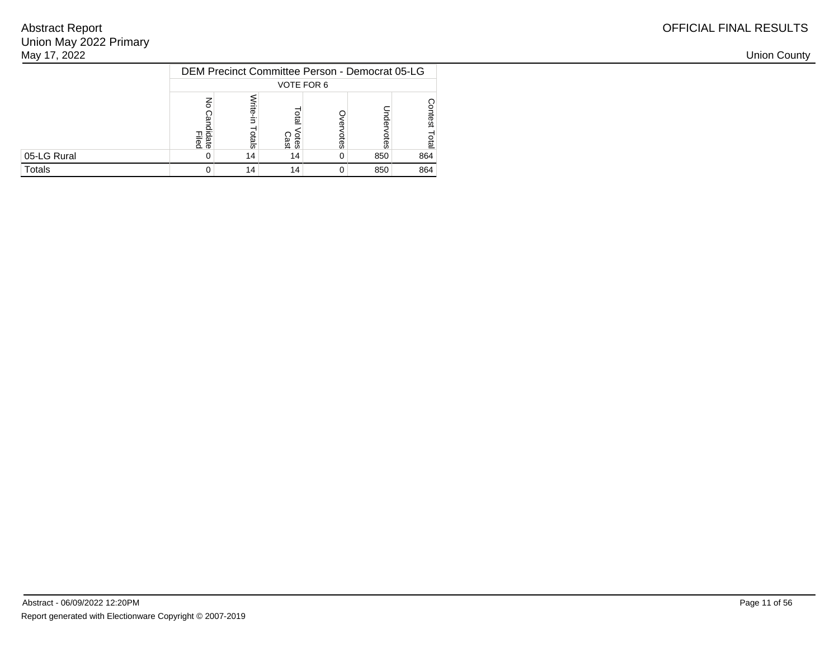| May 17, 2022 |                                                |     |              |    |     |     |
|--------------|------------------------------------------------|-----|--------------|----|-----|-----|
|              | DEM Precinct Committee Person - Democrat 05-LG |     |              |    |     |     |
|              |                                                |     | VOTE FOR 6   |    |     |     |
|              | lidate<br>Filed                                | als | Otes<br>Cast | ēs |     |     |
| 05-LG Rural  |                                                | 14  | 14           | 0  | 850 | 864 |
| Totals       |                                                | 14  | 14           | 0  | 850 | 864 |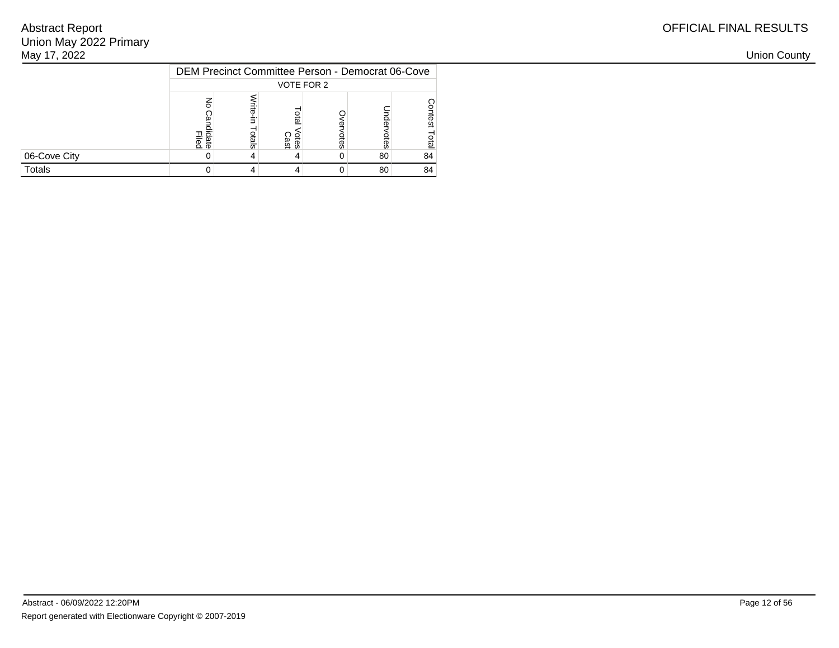| May 17, 2022 |                                                  |        |                     |   |    |    |
|--------------|--------------------------------------------------|--------|---------------------|---|----|----|
|              | DEM Precinct Committee Person - Democrat 06-Cove |        |                     |   |    |    |
|              |                                                  |        | VOTE FOR 2          |   |    |    |
|              | lidate<br>Filed                                  | چ<br>8 | <b>Otes</b><br>Cast | ă | S  |    |
| 06-Cove City |                                                  |        |                     | 0 | 80 | 84 |
| Totals       |                                                  |        |                     | 0 | 80 | 84 |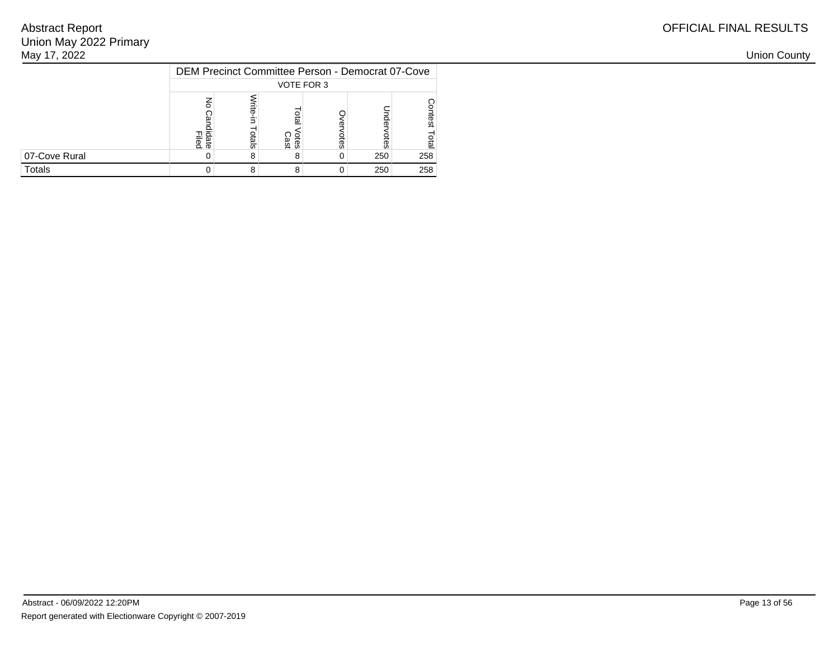| May 17, 2022  |                                                  |   |                     |    |     |     |
|---------------|--------------------------------------------------|---|---------------------|----|-----|-----|
|               | DEM Precinct Committee Person - Democrat 07-Cove |   |                     |    |     |     |
|               |                                                  |   | VOTE FOR 3          |    |     |     |
|               | lidate<br>Filed                                  | 듮 | <b>Otes</b><br>Cast | ĝS |     |     |
| 07-Cove Rural |                                                  | ŏ |                     | 0  | 250 | 258 |
| Totals        |                                                  | 8 | o                   | 0  | 250 | 258 |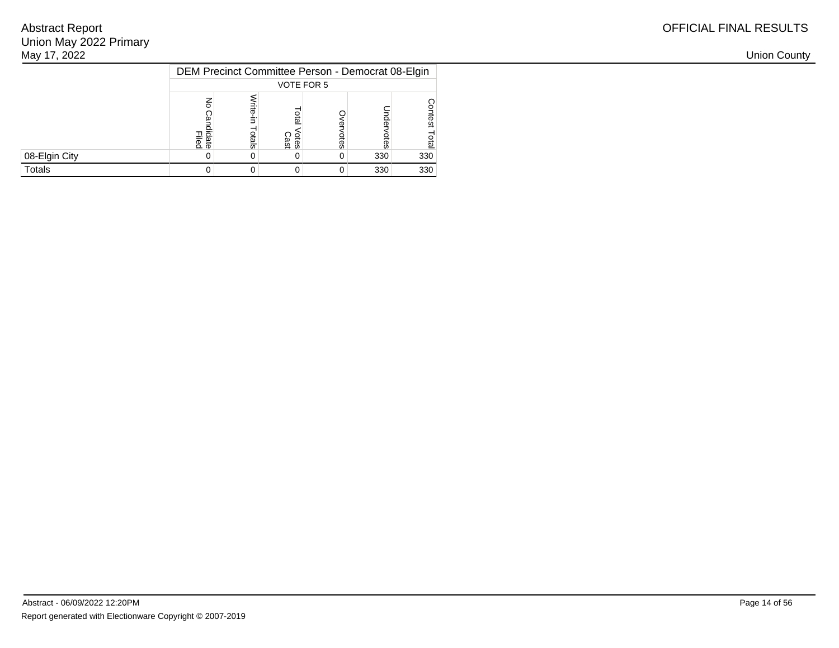| May 17, 2022  |                                                   |   |             |   |     |     |
|---------------|---------------------------------------------------|---|-------------|---|-----|-----|
|               | DEM Precinct Committee Person - Democrat 08-Elgin |   |             |   |     |     |
|               |                                                   |   | VOTE FOR 5  |   |     |     |
|               | lidate<br>Filed                                   | 듮 | <b>Otes</b> | ā |     |     |
| 08-Elgin City |                                                   |   |             | 0 | 330 | 330 |
| Totals        |                                                   |   |             | 0 | 330 | 330 |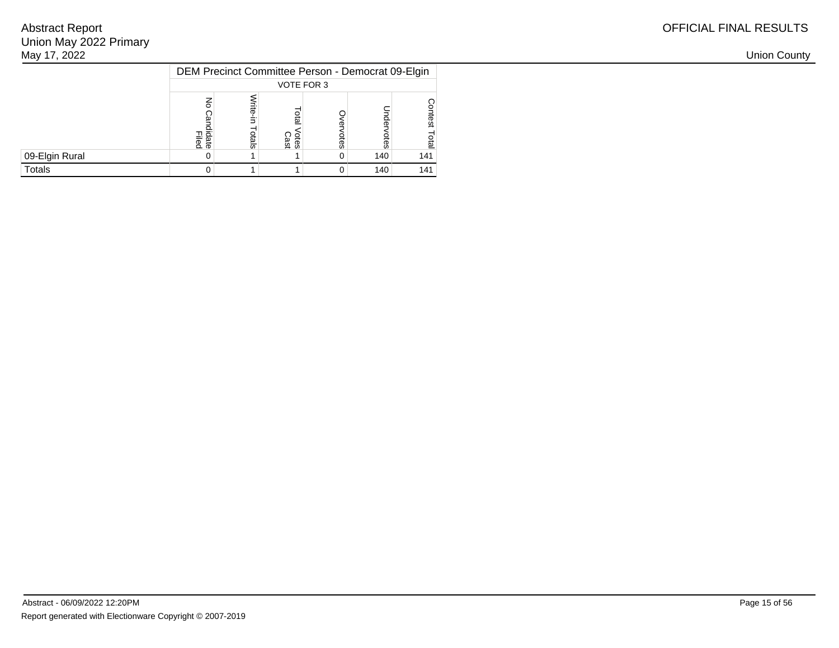| May 17, 2022   |                                                   |            |                     |      |         |     |
|----------------|---------------------------------------------------|------------|---------------------|------|---------|-----|
|                | DEM Precinct Committee Person - Democrat 09-Elgin |            |                     |      |         |     |
|                |                                                   |            | VOTE FOR 3          |      |         |     |
|                | lidate<br>Filed                                   | <u>ais</u> | <b>Cast</b><br>Cast | otes | 읏<br>සි |     |
| 09-Elgin Rural |                                                   |            |                     | 0    | 140     | 141 |
| Totals         |                                                   |            |                     | 0    | 140     | 141 |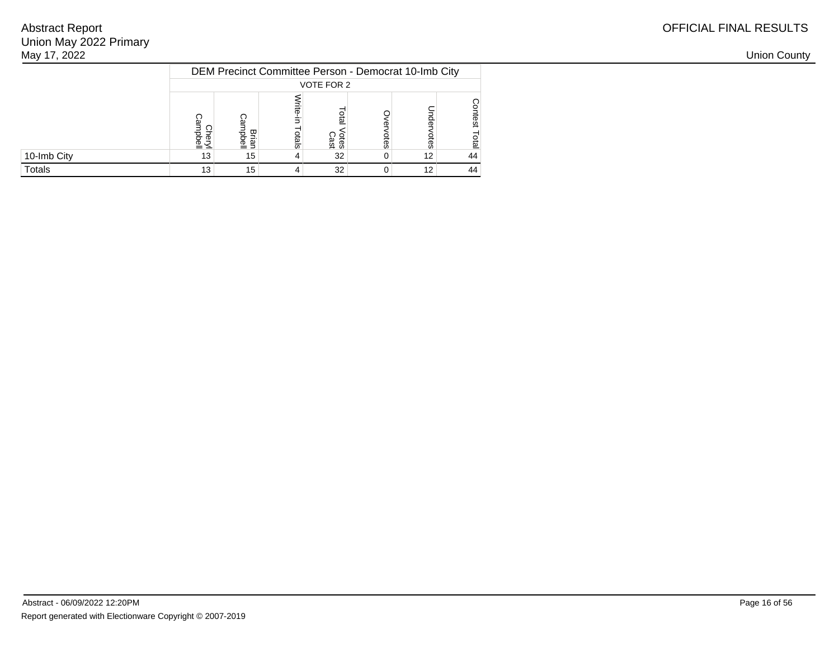| May 17, 2022 |                                |          |            |                                                      |   |    |    |
|--------------|--------------------------------|----------|------------|------------------------------------------------------|---|----|----|
|              |                                |          |            | DEM Precinct Committee Person - Democrat 10-Imb City |   |    |    |
|              |                                |          |            | VOTE FOR 2                                           |   |    |    |
|              | $\overline{\phantom{a}}$<br>≞≤ | ᢦ<br>高 司 | <u>als</u> | <u>ទី</u><br><b>Cast</b><br>Cast                     | S |    |    |
| 10-Imb City  | 13                             | 15       |            | 32 <sub>1</sub>                                      |   | 12 | 44 |
| Totals       |                                | 15       |            | 32 <sub>1</sub>                                      |   | 12 | 44 |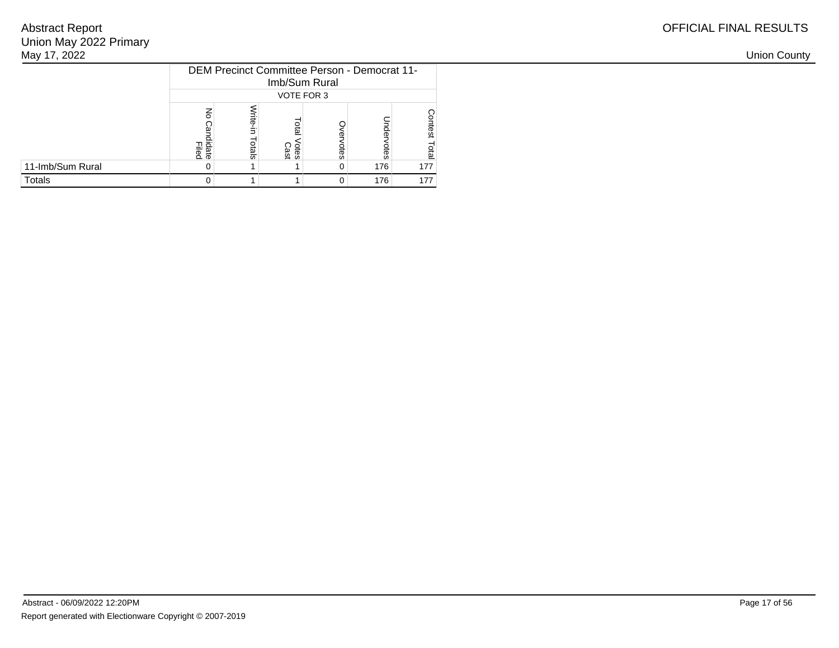| May 17, 2022     |                 |      |                             |                                              |     |     |
|------------------|-----------------|------|-----------------------------|----------------------------------------------|-----|-----|
|                  |                 |      | Imb/Sum Rural<br>VOTE FOR 3 | DEM Precinct Committee Person - Democrat 11- |     |     |
|                  | lidate<br>Filed | dals | <b>Otes</b><br>Cast         | w                                            |     |     |
| 11-Imb/Sum Rural |                 |      |                             | 0                                            | 176 | 177 |
| Totals           |                 |      |                             | 0                                            | 176 | 177 |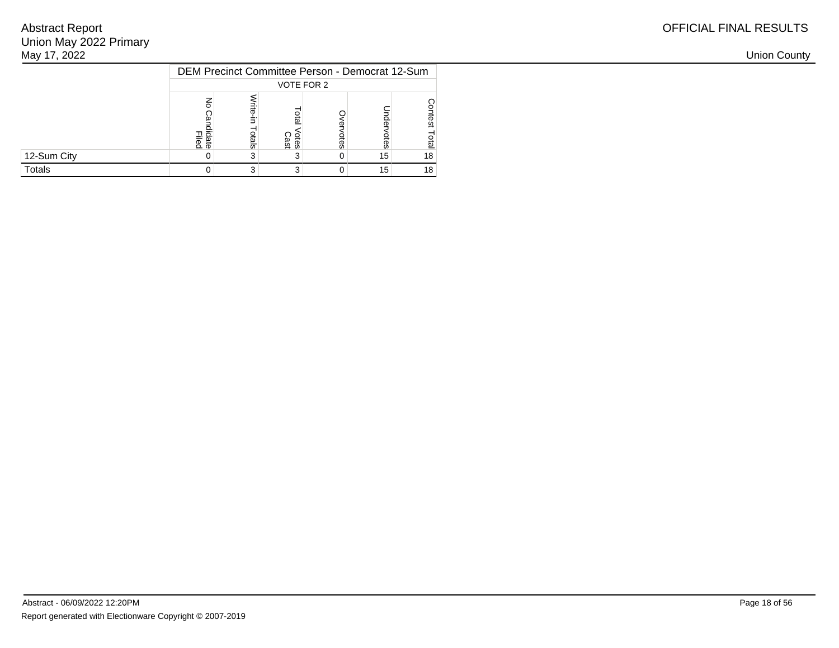| May 17, 2022 |                                                 |   |                     |   |    |    |
|--------------|-------------------------------------------------|---|---------------------|---|----|----|
|              | DEM Precinct Committee Person - Democrat 12-Sum |   |                     |   |    |    |
|              |                                                 |   | VOTE FOR 2          |   |    |    |
|              | Filed<br>Filed                                  | ᇹ | <b>Otes</b><br>Cast | ĝ |    |    |
| 12-Sum City  |                                                 |   |                     | 0 | 15 | 18 |
| Totals       |                                                 |   |                     | 0 | 15 | 18 |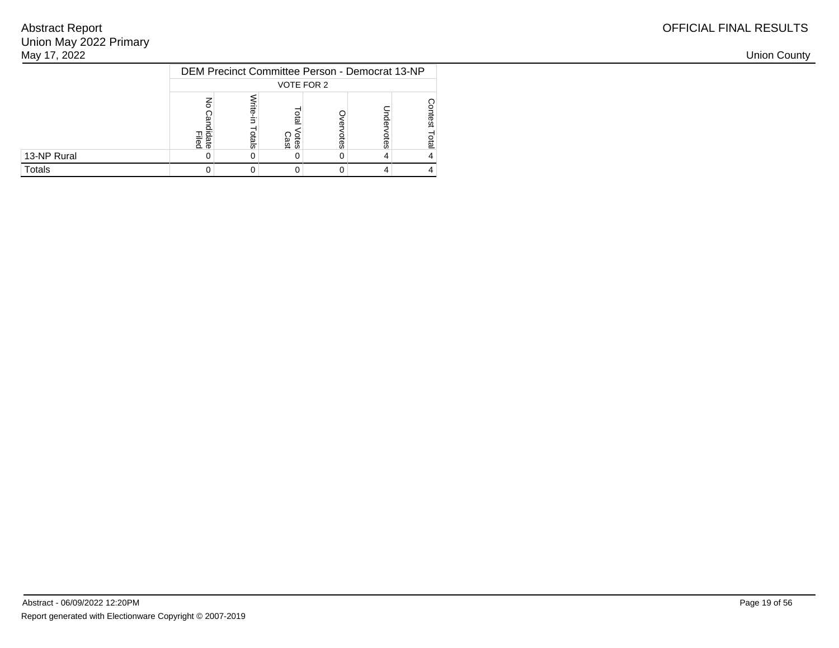| May 17, 2022 |                                                |       |              |    |  |
|--------------|------------------------------------------------|-------|--------------|----|--|
|              | DEM Precinct Committee Person - Democrat 13-NP |       |              |    |  |
|              |                                                |       | VOTE FOR 2   |    |  |
|              | 그 효<br>$2\overline{5}$                         | otals | Otes<br>Cast | ŝa |  |
| 13-NP Rural  |                                                |       |              | 0  |  |
| Totals       |                                                |       |              |    |  |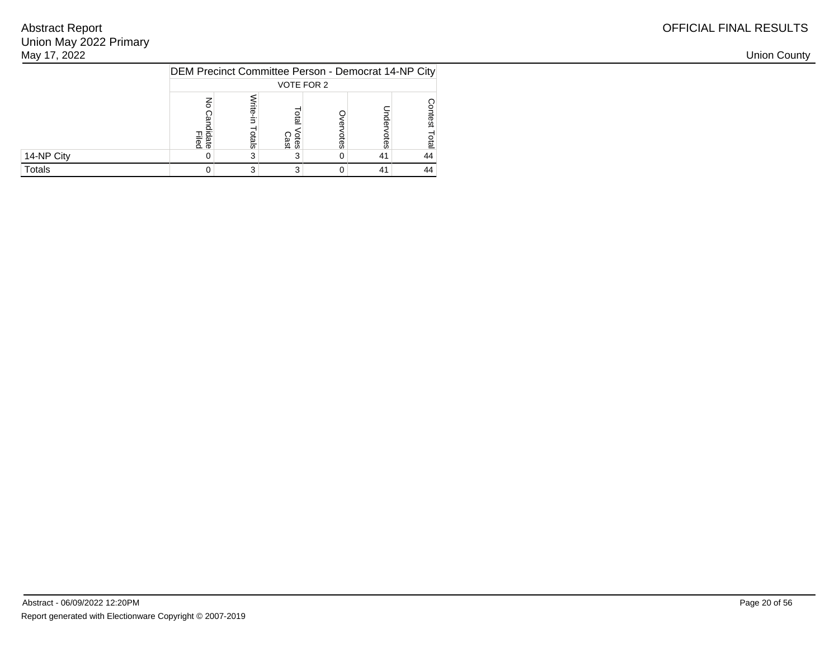| May 17, 2022 |                                                     |   |              |    |    |    |  |  |  |  |  |  |
|--------------|-----------------------------------------------------|---|--------------|----|----|----|--|--|--|--|--|--|
|              | DEM Precinct Committee Person - Democrat 14-NP City |   |              |    |    |    |  |  |  |  |  |  |
|              | VOTE FOR 2                                          |   |              |    |    |    |  |  |  |  |  |  |
|              | ate<br>lied                                         | 듮 | otes<br>Cast | ĝS |    |    |  |  |  |  |  |  |
| 14-NP City   |                                                     |   |              | 0  | 41 | 44 |  |  |  |  |  |  |
| Totals       |                                                     |   |              | 0  | 41 | 44 |  |  |  |  |  |  |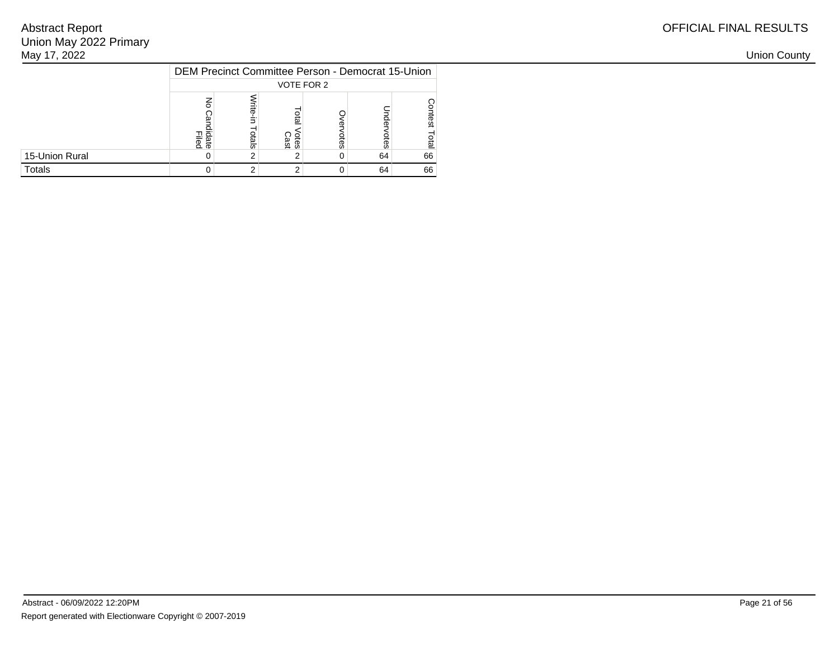| OFFICIAL FINAL RESULTS |
|------------------------|
|------------------------|

| May 17, 2022   |                 |                                                   |              |   |    |    |  |  |  |  |  |  |
|----------------|-----------------|---------------------------------------------------|--------------|---|----|----|--|--|--|--|--|--|
|                |                 | DEM Precinct Committee Person - Democrat 15-Union |              |   |    |    |  |  |  |  |  |  |
|                | VOTE FOR 2      |                                                   |              |   |    |    |  |  |  |  |  |  |
|                | lidate<br>Filed | 둢                                                 | otes<br>Cast | ā |    |    |  |  |  |  |  |  |
| 15-Union Rural |                 |                                                   |              | 0 | 64 | 66 |  |  |  |  |  |  |
| Totals         |                 |                                                   |              | 0 | 64 | 66 |  |  |  |  |  |  |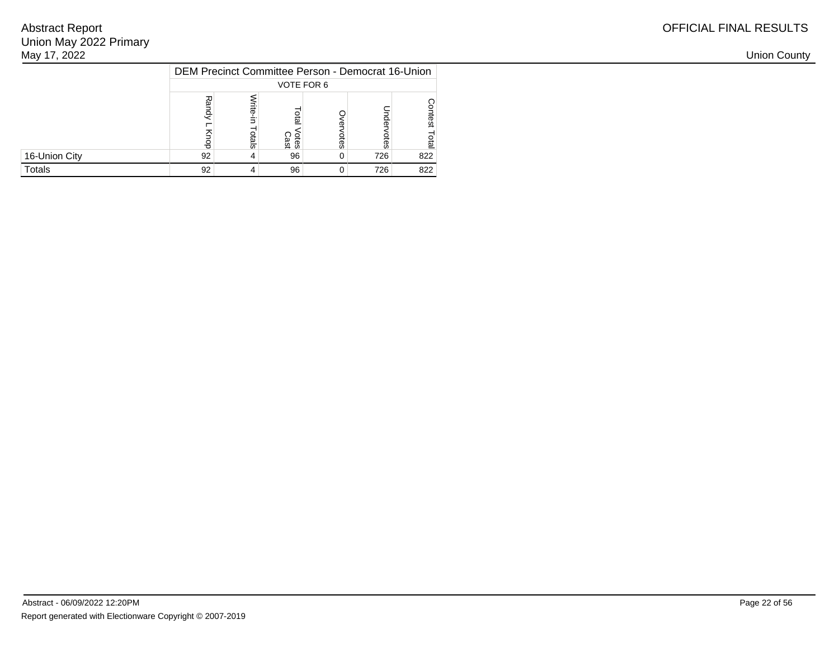| OFFICIAL FINAL RESULTS |
|------------------------|
|------------------------|

| May 17, 2022  |            |                                                   |             |       |     |     |  |  |  |  |  |  |
|---------------|------------|---------------------------------------------------|-------------|-------|-----|-----|--|--|--|--|--|--|
|               |            | DEM Precinct Committee Person - Democrat 16-Union |             |       |     |     |  |  |  |  |  |  |
|               | VOTE FOR 6 |                                                   |             |       |     |     |  |  |  |  |  |  |
|               |            | <u>ials</u>                                       | <b>Otes</b> | ĝ     |     |     |  |  |  |  |  |  |
| 16-Union City | 92         |                                                   | 96          | $0^+$ | 726 | 822 |  |  |  |  |  |  |
| Totals        | 92         |                                                   | 96          | 0     | 726 | 822 |  |  |  |  |  |  |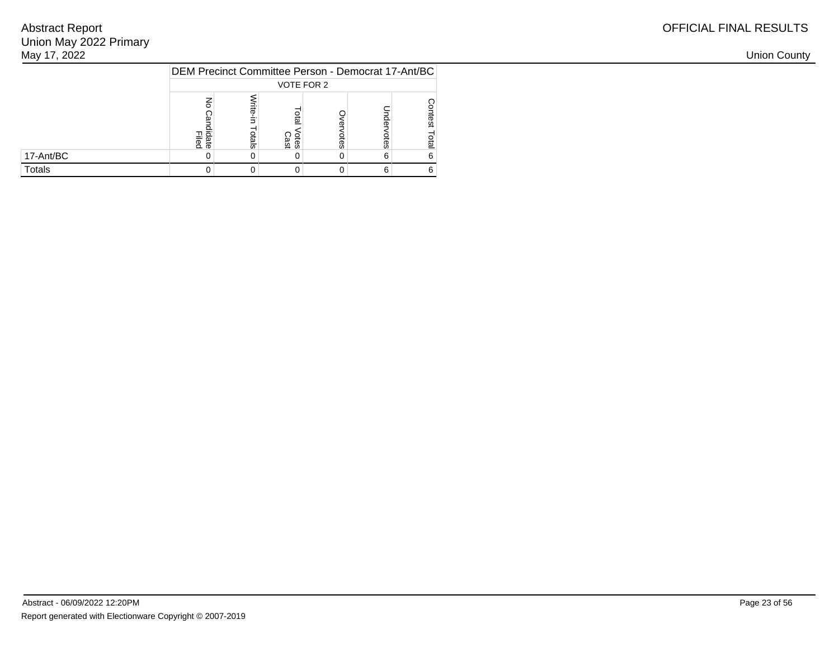| May 17, 2022 |                                                    |   |              |   |  |  |  |  |  |  |  |
|--------------|----------------------------------------------------|---|--------------|---|--|--|--|--|--|--|--|
|              | DEM Precinct Committee Person - Democrat 17-Ant/BC |   |              |   |  |  |  |  |  |  |  |
|              | VOTE FOR 2                                         |   |              |   |  |  |  |  |  |  |  |
|              | lidate<br>Filed                                    | 둢 | otes<br>Cast | ஓ |  |  |  |  |  |  |  |
| 17-Ant/BC    |                                                    |   |              | U |  |  |  |  |  |  |  |
| Totals       |                                                    |   |              | 0 |  |  |  |  |  |  |  |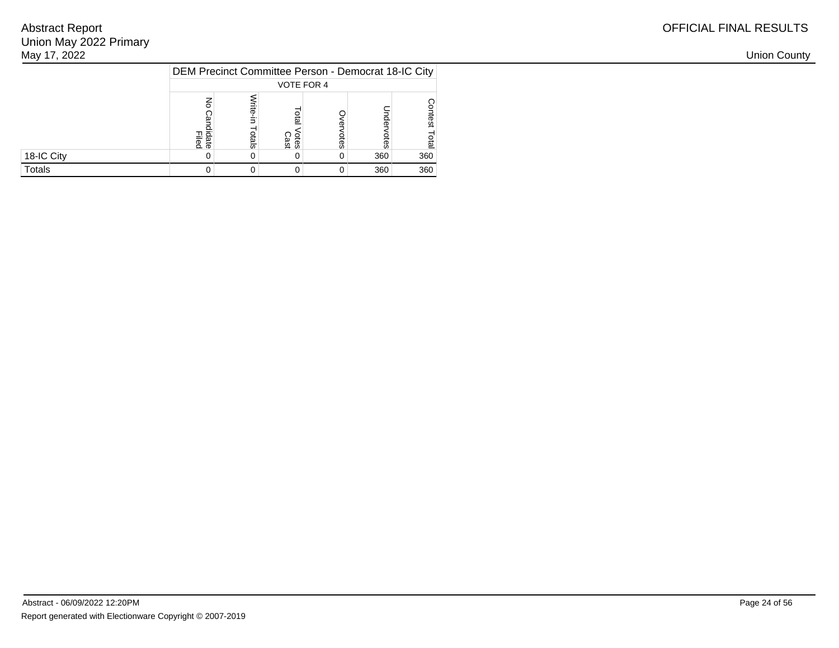| OFFICIAL FINAL RESULTS |
|------------------------|
|------------------------|

| May 17, 2022 |                                                     |        |                     |    |     |                  |  |  |  |  |  |
|--------------|-----------------------------------------------------|--------|---------------------|----|-----|------------------|--|--|--|--|--|
|              | DEM Precinct Committee Person - Democrat 18-IC City |        |                     |    |     |                  |  |  |  |  |  |
|              | VOTE FOR 4                                          |        |                     |    |     |                  |  |  |  |  |  |
|              | lidate<br>Filed                                     | چ<br>8 | <b>Otes</b><br>Cast | ĝ3 | S   |                  |  |  |  |  |  |
| 18-IC City   |                                                     |        | 0                   | 0  | 360 | 360              |  |  |  |  |  |
| Totals       |                                                     |        | 0                   | 0  | 360 | 360 <sub>1</sub> |  |  |  |  |  |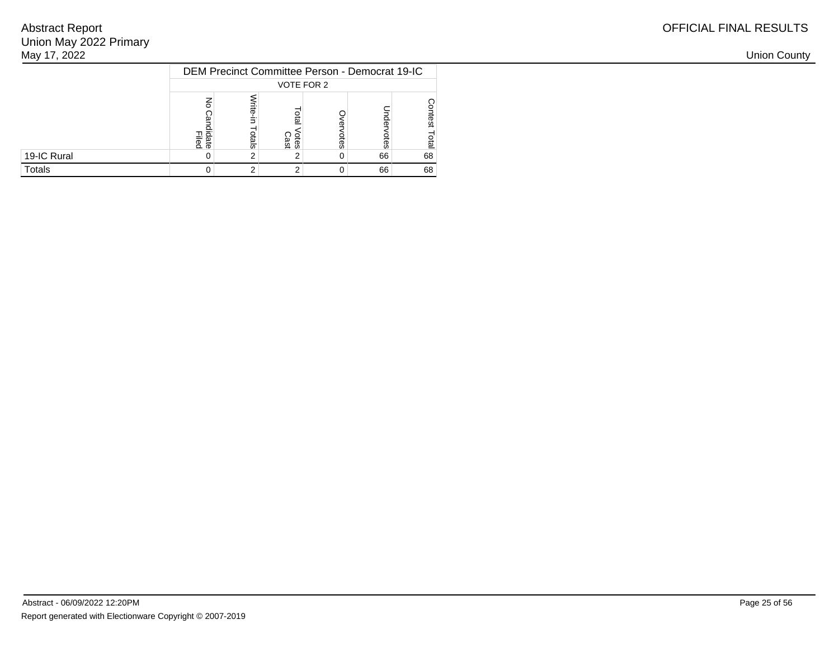| May 17, 2022 |                                                              |       |                     |   |    |    |  |  |  |
|--------------|--------------------------------------------------------------|-------|---------------------|---|----|----|--|--|--|
|              | DEM Precinct Committee Person - Democrat 19-IC<br>VOTE FOR 2 |       |                     |   |    |    |  |  |  |
|              | Filed<br>Filed                                               | otals | <b>Cast</b><br>Cast | 8 |    |    |  |  |  |
| 19-IC Rural  |                                                              |       |                     | 0 | 66 | 68 |  |  |  |
| Totals       |                                                              |       |                     | O | 66 | 68 |  |  |  |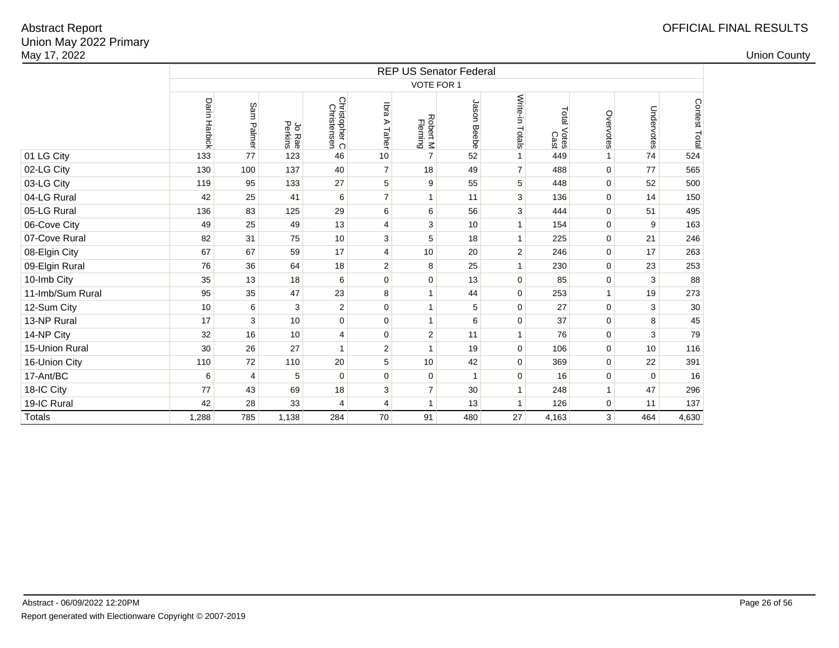|                  | <b>REP US Senator Federal</b> |                |                   |                              |                 |                     |                |                 |                        |              |             |               |  |  |
|------------------|-------------------------------|----------------|-------------------|------------------------------|-----------------|---------------------|----------------|-----------------|------------------------|--------------|-------------|---------------|--|--|
|                  | <b>VOTE FOR 1</b>             |                |                   |                              |                 |                     |                |                 |                        |              |             |               |  |  |
|                  | Darin Harbick                 | Sam Palmer     | Jo Rae<br>Perkins | Christopher C<br>Christensen | lbra A<br>Taher | Robert M<br>Fleming | Jason<br>Beebe | Write-in Totals | Total<br>Votes<br>Cast | Overvotes    | Undervotes  | Contest Total |  |  |
| 01 LG City       | 133                           | 77             | 123               | 46                           | 10              | $\overline{7}$      | 52             | $\mathbf{1}$    | 449                    | $\mathbf{1}$ | 74          | 524           |  |  |
| 02-LG City       | 130                           | 100            | 137               | 40                           | $\overline{7}$  | 18                  | 49             | $\overline{7}$  | 488                    | $\mathbf 0$  | 77          | 565           |  |  |
| 03-LG City       | 119                           | 95             | 133               | 27                           | 5               | 9                   | 55             | 5               | 448                    | $\mathbf 0$  | 52          | 500           |  |  |
| 04-LG Rural      | 42                            | 25             | 41                | 6                            | $\overline{7}$  | $\mathbf{1}$        | 11             | 3               | 136                    | $\mathbf 0$  | 14          | 150           |  |  |
| 05-LG Rural      | 136                           | 83             | 125               | 29                           | $\,6$           | 6                   | 56             | 3               | 444                    | $\mathbf 0$  | 51          | 495           |  |  |
| 06-Cove City     | 49                            | 25             | 49                | 13                           | 4               | 3                   | 10             | $\mathbf{1}$    | 154                    | $\pmb{0}$    | 9           | 163           |  |  |
| 07-Cove Rural    | 82                            | 31             | 75                | 10                           | 3               | 5                   | 18             | $\mathbf{1}$    | 225                    | $\mathbf 0$  | 21          | 246           |  |  |
| 08-Elgin City    | 67                            | 67             | 59                | 17                           | 4               | 10                  | 20             | $\overline{c}$  | 246                    | $\mathbf 0$  | 17          | 263           |  |  |
| 09-Elgin Rural   | 76                            | 36             | 64                | 18                           | $\overline{2}$  | 8                   | 25             | $\mathbf{1}$    | 230                    | $\mathbf 0$  | 23          | 253           |  |  |
| 10-Imb City      | 35                            | 13             | 18                | 6                            | $\mathbf 0$     | $\pmb{0}$           | 13             | 0               | 85                     | $\mathbf 0$  | 3           | 88            |  |  |
| 11-Imb/Sum Rural | 95                            | 35             | 47                | 23                           | 8               | $\mathbf{1}$        | 44             | 0               | 253                    | $\mathbf{1}$ | 19          | 273           |  |  |
| 12-Sum City      | 10                            | 6              | 3                 | $\overline{c}$               | $\mathbf 0$     | $\mathbf{1}$        | 5              | 0               | 27                     | $\mathbf 0$  | 3           | 30            |  |  |
| 13-NP Rural      | 17                            | 3              | 10                | $\mathbf 0$                  | $\mathbf 0$     | $\mathbf{1}$        | 6              | 0               | 37                     | $\mathbf 0$  | 8           | 45            |  |  |
| 14-NP City       | 32                            | 16             | 10                | 4                            | $\pmb{0}$       | $\mathbf 2$         | 11             | $\mathbf{1}$    | 76                     | $\pmb{0}$    | 3           | 79            |  |  |
| 15-Union Rural   | 30                            | 26             | 27                | $\overline{1}$               | $\overline{2}$  | $\mathbf{1}$        | 19             | 0               | 106                    | $\mathbf 0$  | 10          | 116           |  |  |
| 16-Union City    | 110                           | 72             | 110               | 20                           | 5               | 10                  | 42             | 0               | 369                    | $\mathbf 0$  | 22          | 391           |  |  |
| 17-Ant/BC        | 6                             | $\overline{4}$ | 5                 | $\mathbf 0$                  | $\mathbf 0$     | $\mathbf 0$         | $\mathbf{1}$   | 0               | 16                     | $\mathbf 0$  | $\mathbf 0$ | 16            |  |  |
| 18-IC City       | 77                            | 43             | 69                | 18                           | 3               | $\overline{7}$      | 30             | $\mathbf{1}$    | 248                    | $\mathbf{1}$ | 47          | 296           |  |  |
| 19-IC Rural      | 42                            | 28             | 33                | $\overline{4}$               | 4               | $\mathbf{1}$        | 13             | $\mathbf{1}$    | 126                    | $\pmb{0}$    | 11          | 137           |  |  |
| Totals           | 1,288                         | 785            | 1,138             | 284                          | 70              | 91                  | 480            | 27              | 4,163                  | 3            | 464         | 4,630         |  |  |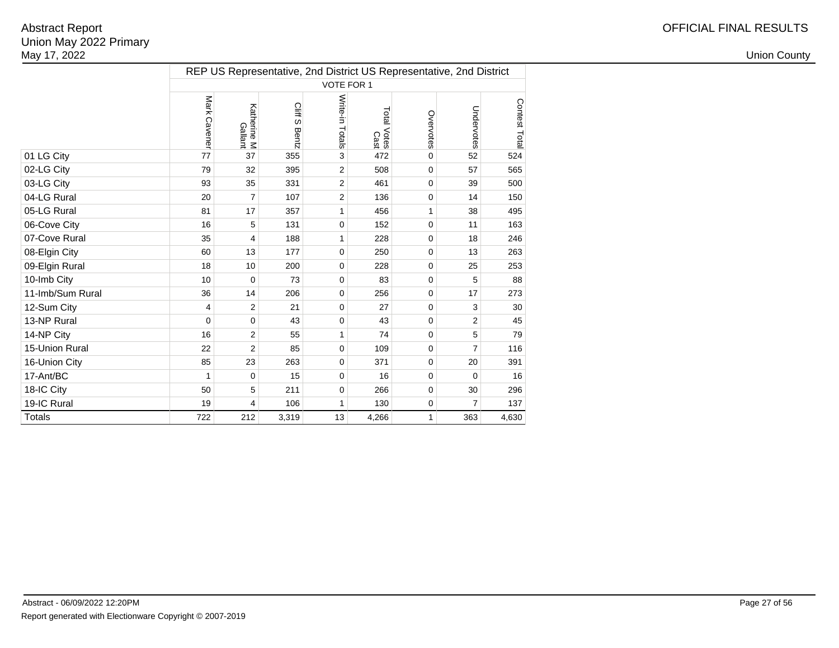|                  | REP US Representative, 2nd District US Representative, 2nd District |                        |                      |                 |                            |              |                |               |  |  |  |  |
|------------------|---------------------------------------------------------------------|------------------------|----------------------|-----------------|----------------------------|--------------|----------------|---------------|--|--|--|--|
|                  |                                                                     |                        |                      | VOTE FOR 1      |                            |              |                |               |  |  |  |  |
|                  | Mark Cavener                                                        | Katherine M<br>Gallant | <b>CIHS</b><br>Bentz | Write-in Totals | Total Votes<br>Total Votes | Overvotes    | Undervotes     | Contest Total |  |  |  |  |
| 01 LG City       | 77                                                                  | 37                     | 355                  | 3               | 472                        | 0            | 52             | 524           |  |  |  |  |
| 02-LG City       | 79                                                                  | 32                     | 395                  | 2               | 508                        | 0            | 57             | 565           |  |  |  |  |
| 03-LG City       | 93                                                                  | 35                     | 331                  | $\overline{2}$  | 461                        | 0            | 39             | 500           |  |  |  |  |
| 04-LG Rural      | 20                                                                  | 7                      | 107                  | 2               | 136                        | 0            | 14             | 150           |  |  |  |  |
| 05-LG Rural      | 81                                                                  | 17                     | 357                  | 1               | 456                        | $\mathbf{1}$ | 38             | 495           |  |  |  |  |
| 06-Cove City     | 16                                                                  | 5                      | 131                  | 0               | 152                        | 0            | 11             | 163           |  |  |  |  |
| 07-Cove Rural    | 35                                                                  | $\overline{4}$         | 188                  | 1               | 228                        | 0            | 18             | 246           |  |  |  |  |
| 08-Elgin City    | 60                                                                  | 13                     | 177                  | 0               | 250                        | 0            | 13             | 263           |  |  |  |  |
| 09-Elgin Rural   | 18                                                                  | 10                     | 200                  | 0               | 228                        | 0            | 25             | 253           |  |  |  |  |
| 10-Imb City      | 10                                                                  | 0                      | 73                   | 0               | 83                         | 0            | 5              | 88            |  |  |  |  |
| 11-Imb/Sum Rural | 36                                                                  | 14                     | 206                  | $\Omega$        | 256                        | 0            | 17             | 273           |  |  |  |  |
| 12-Sum City      | 4                                                                   | $\overline{2}$         | 21                   | 0               | 27                         | 0            | 3              | 30            |  |  |  |  |
| 13-NP Rural      | 0                                                                   | $\mathbf 0$            | 43                   | 0               | 43                         | 0            | 2              | 45            |  |  |  |  |
| 14-NP City       | 16                                                                  | 2                      | 55                   | 1               | 74                         | 0            | 5              | 79            |  |  |  |  |
| 15-Union Rural   | 22                                                                  | $\overline{2}$         | 85                   | $\mathbf 0$     | 109                        | 0            | $\overline{7}$ | 116           |  |  |  |  |
| 16-Union City    | 85                                                                  | 23                     | 263                  | 0               | 371                        | 0            | 20             | 391           |  |  |  |  |
| 17-Ant/BC        | $\mathbf{1}$                                                        | $\mathbf 0$            | 15                   | 0               | 16                         | 0            | $\Omega$       | 16            |  |  |  |  |
| 18-IC City       | 50                                                                  | 5                      | 211                  | 0               | 266                        | 0            | 30             | 296           |  |  |  |  |
| 19-IC Rural      | 19                                                                  | 4                      | 106                  | $\mathbf{1}$    | 130                        | 0            | 7              | 137           |  |  |  |  |
| <b>Totals</b>    | 722                                                                 | 212                    | 3,319                | 13              | 4,266                      | $\mathbf{1}$ | 363            | 4,630         |  |  |  |  |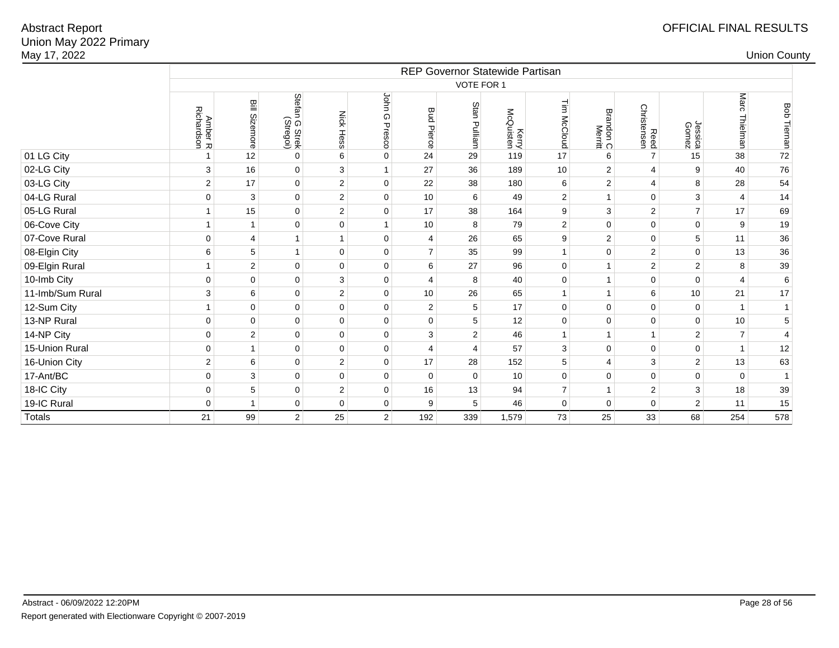| May 17, 2022     |                       |                       |                                  |                  |                  |                      |                |                                 |                     |                     |                     |                  |                         | <b>Union County</b> |
|------------------|-----------------------|-----------------------|----------------------------------|------------------|------------------|----------------------|----------------|---------------------------------|---------------------|---------------------|---------------------|------------------|-------------------------|---------------------|
|                  |                       |                       |                                  |                  |                  |                      |                | REP Governor Statewide Partisan |                     |                     |                     |                  |                         |                     |
|                  |                       |                       |                                  |                  |                  |                      | VOTE FOR 1     |                                 |                     |                     |                     |                  |                         |                     |
|                  | Amber R<br>Richardson | Bill Sizemore         | Stefan<br>n G Strek<br>(Stregoi) | <b>Nick Hess</b> | John G<br>Presco | Bud<br><b>Pierce</b> | Stan Pulliam   | Kerry<br>McQuisten              | 들<br><b>McCloud</b> | Brandon C<br>Merrit | Reed<br>Christensen | Jessica<br>Gomez | <b>Marc</b><br>Thielman | <b>Bob Tiernan</b>  |
| 01 LG City       |                       | 12                    | $\mathbf 0$                      | 6                | $\pmb{0}$        | 24                   | 29             | 119                             | 17                  | 6                   | $\overline{7}$      | 15               | 38                      | 72                  |
| 02-LG City       | 3                     | 16                    | $\pmb{0}$                        | $\mathbf{3}$     | $\mathbf{1}$     | 27                   | 36             | 189                             | 10                  | $\overline{2}$      | $\overline{4}$      | $\boldsymbol{9}$ | 40                      | 76                  |
| 03-LG City       | 2                     | 17                    | $\pmb{0}$                        | $\overline{2}$   | $\mathbf 0$      | 22                   | 38             | 180                             | 6                   | 2                   | $\overline{4}$      | 8                | 28                      | 54                  |
| 04-LG Rural      | $\mathbf 0$           | 3                     | $\pmb{0}$                        | $\overline{2}$   | $\mathbf 0$      | 10                   | 6              | 49                              | $\overline{2}$      | $\overline{1}$      | $\mathbf{0}$        | 3                | 4                       | 14                  |
| 05-LG Rural      |                       | 15                    | $\pmb{0}$                        | $\overline{c}$   | $\mathbf 0$      | 17                   | 38             | 164                             | 9                   | 3                   | $\overline{c}$      | $\overline{7}$   | 17                      | 69                  |
| 06-Cove City     | $\overline{1}$        |                       | $\mathbf 0$                      | $\pmb{0}$        | $\mathbf{1}$     | 10                   | 8              | 79                              | $\overline{2}$      | $\mathbf{0}$        | $\mathbf 0$         | $\pmb{0}$        | $\boldsymbol{9}$        | 19                  |
| 07-Cove Rural    | $\mathbf 0$           | $\boldsymbol{\Delta}$ | $\mathbf{1}$                     | $\mathbf{1}$     | $\mathbf 0$      | 4                    | 26             | 65                              | 9                   | 2                   | $\mathbf 0$         | $\sqrt{5}$       | 11                      | 36                  |
| 08-Elgin City    | 6                     | 5                     | $\mathbf{1}$                     | $\mathsf 0$      | $\pmb{0}$        | $\overline{7}$       | 35             | 99                              | $\mathbf{1}$        | $\Omega$            | $\overline{2}$      | $\mathbf{0}$     | 13                      | 36                  |
| 09-Elgin Rural   |                       | $\overline{2}$        | $\pmb{0}$                        | $\mathsf 0$      | $\pmb{0}$        | 6                    | 27             | 96                              | $\mathsf 0$         | $\mathbf{1}$        | $\overline{2}$      | $\overline{2}$   | $\bf8$                  | 39                  |
| 10-Imb City      | $\mathbf 0$           | $\Omega$              | $\pmb{0}$                        | $\mathbf{3}$     | $\mathbf 0$      | $\overline{4}$       | 8              | 40                              | $\mathbf{0}$        | $\overline{1}$      | $\mathbf 0$         | $\mathbf 0$      | $\overline{4}$          | 6                   |
| 11-Imb/Sum Rural | 3                     | 6                     | $\pmb{0}$                        | $\sqrt{2}$       | $\mathbf 0$      | $10$                 | 26             | 65                              | $\mathbf{1}$        | $\overline{1}$      | $\,6$               | $10$             | 21                      | 17                  |
| 12-Sum City      | -1                    | $\mathbf 0$           | $\mathbf 0$                      | $\pmb{0}$        | $\mathbf 0$      | 2                    | 5              | 17                              | $\mathbf 0$         | $\mathbf 0$         | $\mathbf 0$         | $\mathbf 0$      | $\mathbf{1}$            | $\mathbf{1}$        |
| 13-NP Rural      | $\mathbf 0$           | $\mathbf 0$           | $\pmb{0}$                        | $\pmb{0}$        | $\pmb{0}$        | $\mathbf 0$          | 5              | 12                              | $\mathsf 0$         | $\mathbf 0$         | $\pmb{0}$           | $\pmb{0}$        | 10                      | $\mathbf 5$         |
| 14-NP City       | $\mathbf 0$           | 2                     | $\mathbf 0$                      | $\mathsf 0$      | $\mathbf 0$      | 3                    | $\overline{2}$ | 46                              | $\mathbf{1}$        | $\mathbf{1}$        | $\mathbf{1}$        | $\overline{2}$   | $\overline{7}$          | $\overline{4}$      |
| 15-Union Rural   | $\mathbf 0$           |                       | $\pmb{0}$                        | $\mathbf 0$      | $\mathbf 0$      | 4                    | 4              | 57                              | 3                   | $\mathbf 0$         | $\mathbf 0$         | $\pmb{0}$        | $\mathbf{1}$            | 12                  |
| 16-Union City    | 2                     | 6                     | $\mathbf 0$                      | $\overline{2}$   | $\mathbf 0$      | 17                   | 28             | 152                             | 5                   | $\overline{4}$      | 3                   | $\overline{2}$   | 13                      | 63                  |
| 17-Ant/BC        | $\mathbf 0$           | $\mathsf 3$           | $\pmb{0}$                        | $\mathsf 0$      | $\mathsf 0$      | $\mathbf 0$          | $\Omega$       | 10                              | 0                   | $\mathbf{0}$        | $\pmb{0}$           | $\mathbf 0$      | $\pmb{0}$               | $\overline{1}$      |
| 18-IC City       | $\mathbf 0$           | 5                     | $\pmb{0}$                        | $\overline{2}$   | $\mathbf 0$      | 16                   | 13             | 94                              | $\overline{7}$      | $\mathbf{1}$        | $\overline{2}$      | $\mathbf{3}$     | 18                      | 39                  |
| 19-IC Rural      | $\mathbf 0$           |                       | $\pmb{0}$                        | $\pmb{0}$        | $\pmb{0}$        | 9                    | 5              | 46                              | $\mathbf{0}$        | $\mathbf 0$         | $\mathbf 0$         | $\overline{2}$   | 11                      | 15                  |
| <b>Totals</b>    | 21                    | 99                    | 2 <sup>2</sup>                   | 25               | 2 <sup>1</sup>   | 192                  | 339            | 1,579                           | 73                  | 25                  | 33                  | 68               | 254                     | 578                 |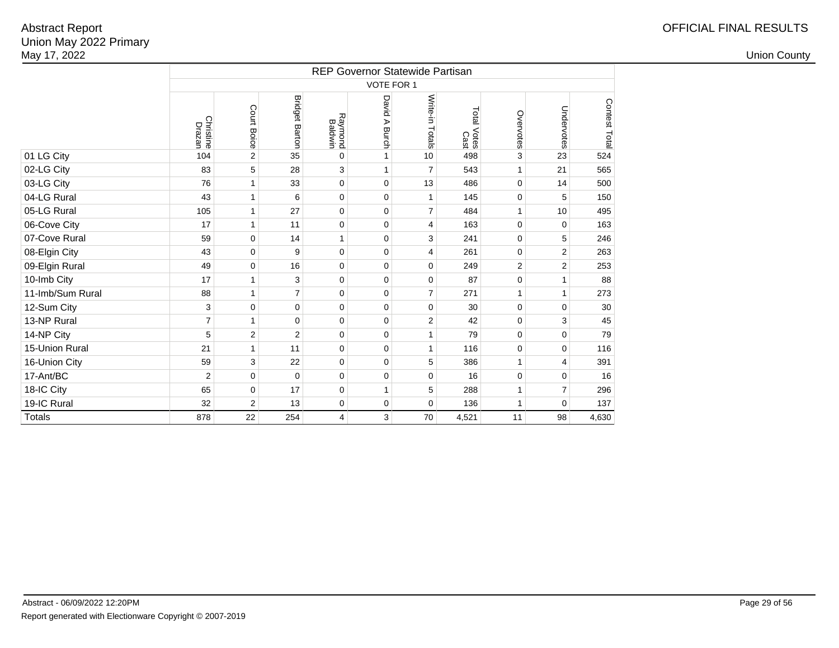|                  |                     |                |                       |                    |                  | <b>REP Governor Statewide Partisan</b> |                     |                |                |               |
|------------------|---------------------|----------------|-----------------------|--------------------|------------------|----------------------------------------|---------------------|----------------|----------------|---------------|
|                  |                     |                |                       |                    | VOTE FOR 1       |                                        |                     |                |                |               |
|                  | Christine<br>Drazan | Court Boice    | <b>Bridget Barton</b> | Raymond<br>Baldwin | David A<br>Burch | Write-in Totals                        | Total Votes<br>Cast | Overvotes      | Undervotes     | Contest Total |
| 01 LG City       | 104                 | $\overline{2}$ | 35                    | $\Omega$           | 1                | 10                                     | 498                 | 3              | 23             | 524           |
| 02-LG City       | 83                  | 5              | 28                    | 3                  | $\mathbf{1}$     | $\overline{7}$                         | 543                 | 1              | 21             | 565           |
| 03-LG City       | 76                  | $\mathbf{1}$   | 33                    | $\mathbf 0$        | 0                | 13                                     | 486                 | $\mathbf 0$    | 14             | 500           |
| 04-LG Rural      | 43                  | 1              | 6                     | $\Omega$           | 0                | $\mathbf{1}$                           | 145                 | 0              | 5              | 150           |
| 05-LG Rural      | 105                 | $\mathbf{1}$   | 27                    | 0                  | 0                | $\overline{7}$                         | 484                 | $\mathbf{1}$   | 10             | 495           |
| 06-Cove City     | 17                  | 1              | 11                    | $\mathbf 0$        | 0                | 4                                      | 163                 | $\mathbf 0$    | $\mathbf 0$    | 163           |
| 07-Cove Rural    | 59                  | $\mathbf 0$    | 14                    | 1                  | 0                | 3                                      | 241                 | $\mathbf 0$    | 5              | 246           |
| 08-Elgin City    | 43                  | $\mathbf 0$    | 9                     | $\mathbf 0$        | 0                | $\overline{4}$                         | 261                 | $\mathbf 0$    | $\overline{2}$ | 263           |
| 09-Elgin Rural   | 49                  | 0              | 16                    | 0                  | 0                | $\mathbf 0$                            | 249                 | $\overline{2}$ | 2              | 253           |
| 10-Imb City      | 17                  | 1              | 3                     | 0                  | 0                | $\mathbf 0$                            | 87                  | $\mathbf 0$    | 1              | 88            |
| 11-Imb/Sum Rural | 88                  | 1              | $\overline{7}$        | $\Omega$           | $\Omega$         | $\overline{7}$                         | 271                 |                | 1              | 273           |
| 12-Sum City      | 3                   | $\mathbf 0$    | $\mathbf 0$           | 0                  | 0                | $\mathbf 0$                            | 30                  | $\mathbf 0$    | $\Omega$       | 30            |
| 13-NP Rural      | $\overline{7}$      | 1              | $\mathbf 0$           | $\mathbf 0$        | 0                | 2                                      | 42                  | $\mathbf 0$    | 3              | 45            |
| 14-NP City       | 5                   | $\overline{2}$ | $\overline{c}$        | 0                  | 0                | 1                                      | 79                  | $\mathbf 0$    | 0              | 79            |
| 15-Union Rural   | 21                  | $\mathbf{1}$   | 11                    | $\mathbf 0$        | 0                | 1                                      | 116                 | $\mathbf 0$    | $\mathbf 0$    | 116           |
| 16-Union City    | 59                  | 3              | 22                    | $\Omega$           | 0                | 5                                      | 386                 | 1              | 4              | 391           |
| 17-Ant/BC        | $\overline{2}$      | 0              | 0                     | $\mathbf 0$        | 0                | $\mathbf 0$                            | 16                  | $\mathbf 0$    | $\mathbf 0$    | 16            |
| 18-IC City       | 65                  | $\mathbf 0$    | 17                    | 0                  | 1                | 5                                      | 288                 | 1              | $\overline{7}$ | 296           |
| 19-IC Rural      | 32                  | 2              | 13                    | $\mathbf 0$        | 0                | $\mathbf 0$                            | 136                 | $\mathbf{1}$   | $\mathbf 0$    | 137           |
| <b>Totals</b>    | 878                 | 22             | 254                   | $\overline{4}$     | 3                | 70                                     | 4,521               | 11             | 98             | 4,630         |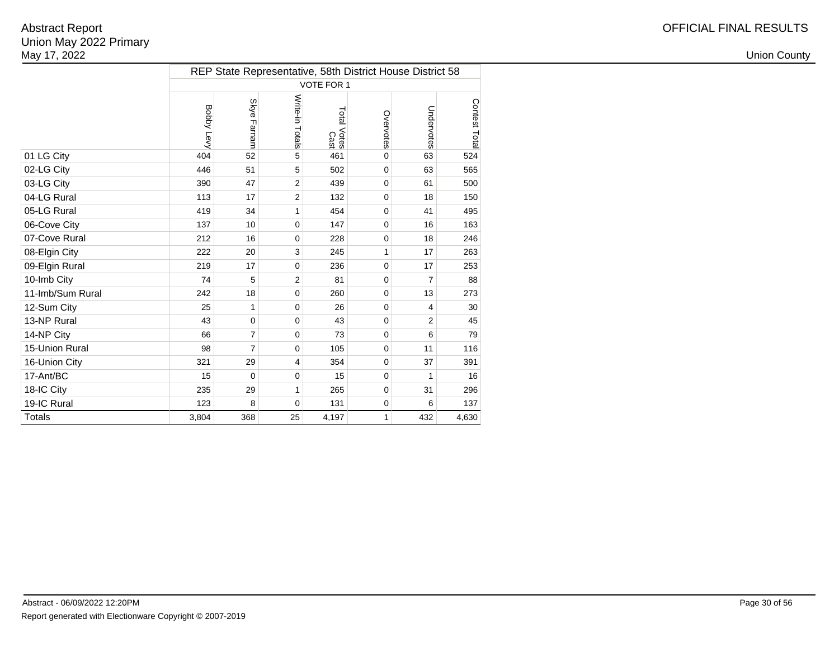|                  |            |                |                 | REP State Representative, 58th District House District 58 |              |                |              |
|------------------|------------|----------------|-----------------|-----------------------------------------------------------|--------------|----------------|--------------|
|                  |            |                |                 | VOTE FOR 1                                                |              |                |              |
|                  | Bobby Levy | Skye Farnam    | Write-in Totals | Total Votes<br>Cast                                       | Overvotes    | Undervotes     | Contest Tota |
| 01 LG City       | 404        | 52             | 5               | 461                                                       | $\mathbf{0}$ | 63             | 524          |
| 02-LG City       | 446        | 51             | 5               | 502                                                       | $\mathbf 0$  | 63             | 565          |
| 03-LG City       | 390        | 47             | $\overline{2}$  | 439                                                       | $\mathbf 0$  | 61             | 500          |
| 04-LG Rural      | 113        | 17             | $\overline{2}$  | 132                                                       | $\Omega$     | 18             | 150          |
| 05-LG Rural      | 419        | 34             | $\mathbf{1}$    | 454                                                       | $\Omega$     | 41             | 495          |
| 06-Cove City     | 137        | 10             | $\mathbf 0$     | 147                                                       | $\mathbf 0$  | 16             | 163          |
| 07-Cove Rural    | 212        | 16             | 0               | 228                                                       | $\mathbf 0$  | 18             | 246          |
| 08-Elgin City    | 222        | 20             | 3               | 245                                                       | 1            | 17             | 263          |
| 09-Elgin Rural   | 219        | 17             | $\mathbf 0$     | 236                                                       | $\mathbf 0$  | 17             | 253          |
| 10-Imb City      | 74         | 5              | $\overline{2}$  | 81                                                        | $\mathbf 0$  | $\overline{7}$ | 88           |
| 11-Imb/Sum Rural | 242        | 18             | 0               | 260                                                       | 0            | 13             | 273          |
| 12-Sum City      | 25         | 1              | $\mathbf 0$     | 26                                                        | $\Omega$     | $\overline{4}$ | 30           |
| 13-NP Rural      | 43         | 0              | $\mathbf 0$     | 43                                                        | $\Omega$     | $\overline{2}$ | 45           |
| 14-NP City       | 66         | 7              | $\mathbf 0$     | 73                                                        | $\mathbf 0$  | 6              | 79           |
| 15-Union Rural   | 98         | $\overline{7}$ | $\mathbf 0$     | 105                                                       | 0            | 11             | 116          |
| 16-Union City    | 321        | 29             | 4               | 354                                                       | $\mathbf 0$  | 37             | 391          |
| 17-Ant/BC        | 15         | $\mathbf 0$    | $\mathbf 0$     | 15                                                        | $\mathbf 0$  | 1              | 16           |
| 18-IC City       | 235        | 29             | 1               | 265                                                       | $\mathbf 0$  | 31             | 296          |
| 19-IC Rural      | 123        | 8              | $\mathbf 0$     | 131                                                       | $\mathbf 0$  | 6              | 137          |
| <b>Totals</b>    | 3,804      | 368            | 25              | 4,197                                                     | 1            | 432            | 4,630        |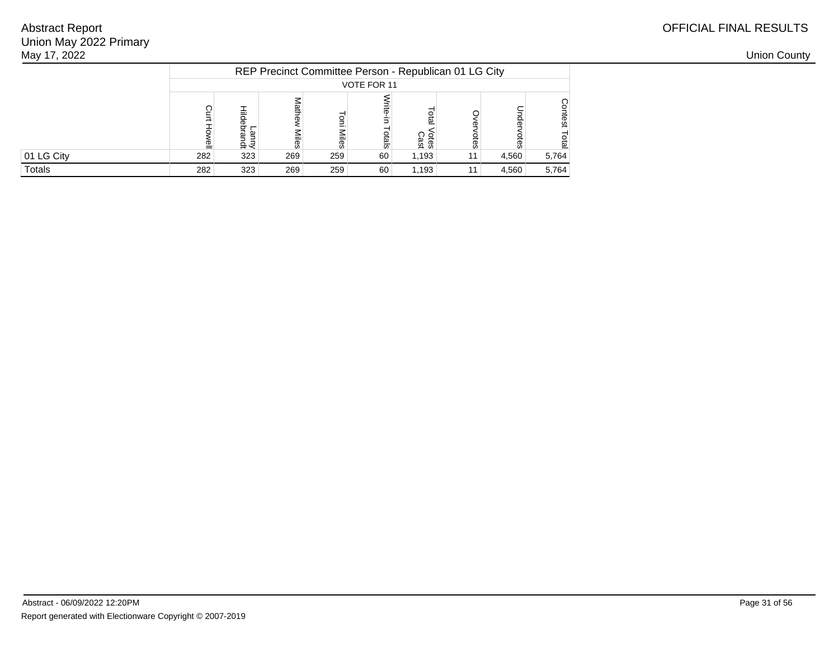| May 17, 2022 |     |      |      |       |             |                     |                                                       |       |       |  | <b>Union County</b> |
|--------------|-----|------|------|-------|-------------|---------------------|-------------------------------------------------------|-------|-------|--|---------------------|
|              |     |      |      |       |             |                     | REP Precinct Committee Person - Republican 01 LG City |       |       |  |                     |
|              |     |      |      |       | VOTE FOR 11 |                     |                                                       |       |       |  |                     |
|              |     | 45 < | jles | liles | <u>ia</u>   | <b>Cres</b><br>Cast |                                                       |       |       |  |                     |
| 01 LG City   | 282 | 323  | 269  | 259   | 60          | 1,193               | 11                                                    | 4,560 | 5,764 |  |                     |
| Totals       | 282 | 323  | 269  | 259   | 60          | 1,193               | 11                                                    | 4,560 | 5,764 |  |                     |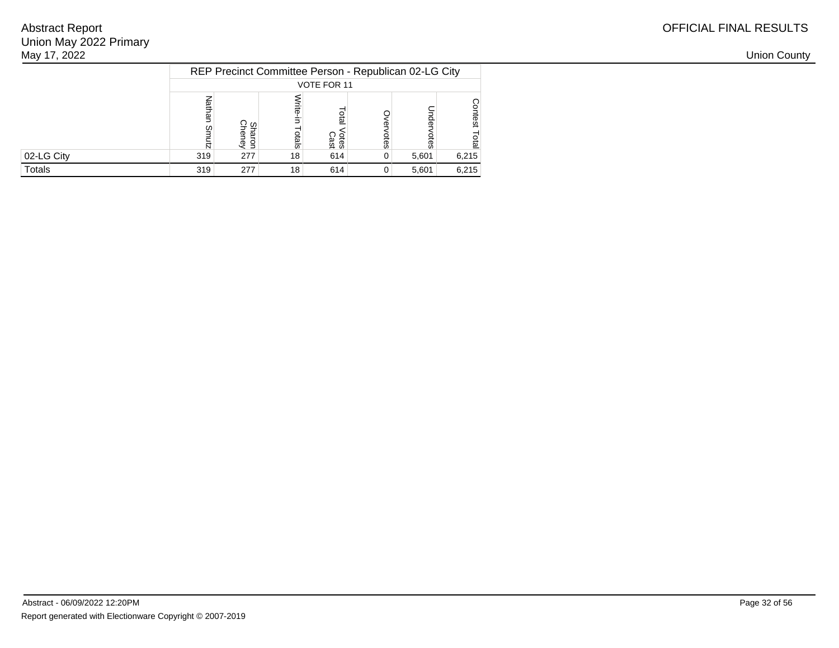| May 17, 2022 |     |               |                 |                                                       |   |       |       |
|--------------|-----|---------------|-----------------|-------------------------------------------------------|---|-------|-------|
|              |     |               |                 | REP Precinct Committee Person - Republican 02-LG City |   |       |       |
|              |     |               |                 | VOTE FOR 11                                           |   |       |       |
|              | m   | ခ္ မွ<br>د جت | als             | leio<br>Votes<br>Cast                                 | Ö |       |       |
| 02-LG City   | 319 | 277           | 18 <sub>1</sub> | 614                                                   | 0 | 5,601 | 6,215 |
| Totals       | 319 | 277           | 18              | 614                                                   | 0 | 5,601 | 6,215 |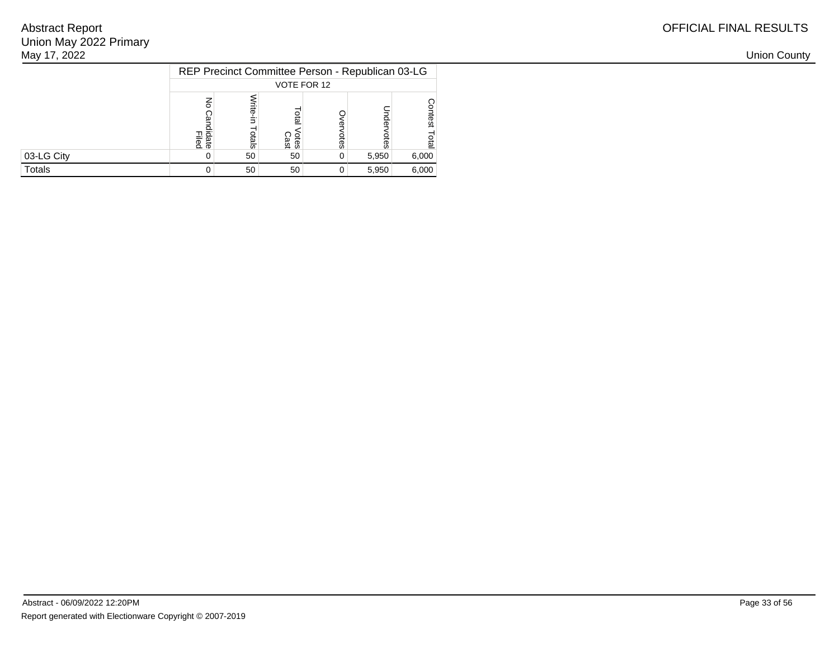| May 17, 2022 |                   |      |              |                                                  |       |       |
|--------------|-------------------|------|--------------|--------------------------------------------------|-------|-------|
|              |                   |      |              | REP Precinct Committee Person - Republican 03-LG |       |       |
|              |                   |      | VOTE FOR 12  |                                                  |       |       |
|              | ᆩᇹ<br>ate<br>lied | tals | otes<br>Cast | otes                                             |       |       |
| 03-LG City   |                   | 50   | 50           | 0                                                | 5,950 | 6,000 |
| Totals       |                   | 50   | 50           | $\mathbf{0}$                                     | 5,950 | 6,000 |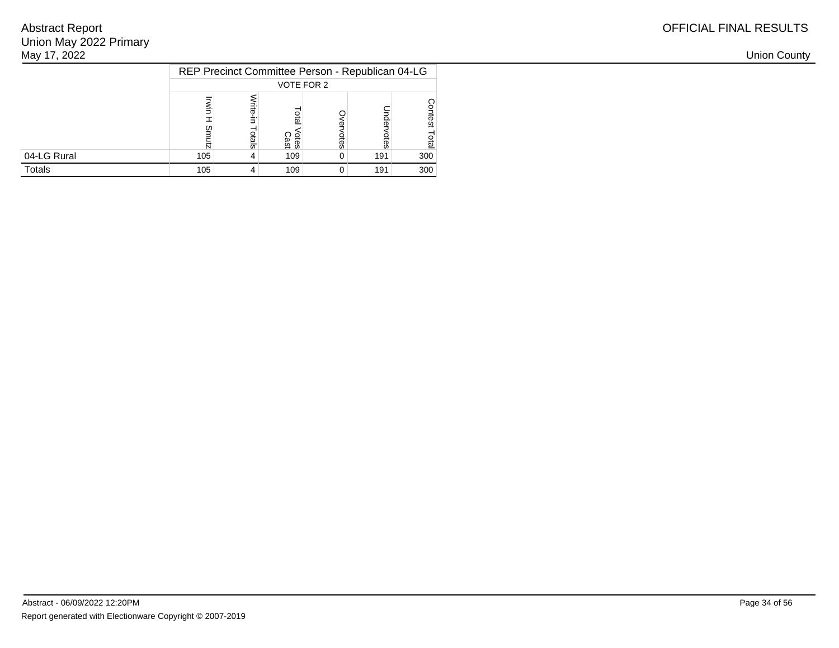| May 17, 2022 |                                                  |     |              |    |     |     |
|--------------|--------------------------------------------------|-----|--------------|----|-----|-----|
|              | REP Precinct Committee Person - Republican 04-LG |     |              |    |     |     |
|              |                                                  |     | VOTE FOR 2   |    |     |     |
|              |                                                  | els | Otes<br>Cast | ēs | 욪   |     |
| 04-LG Rural  | 105                                              |     | 109          | 0  | 191 | 300 |
| Totals       | 105                                              |     | 109          | 0  | 191 | 300 |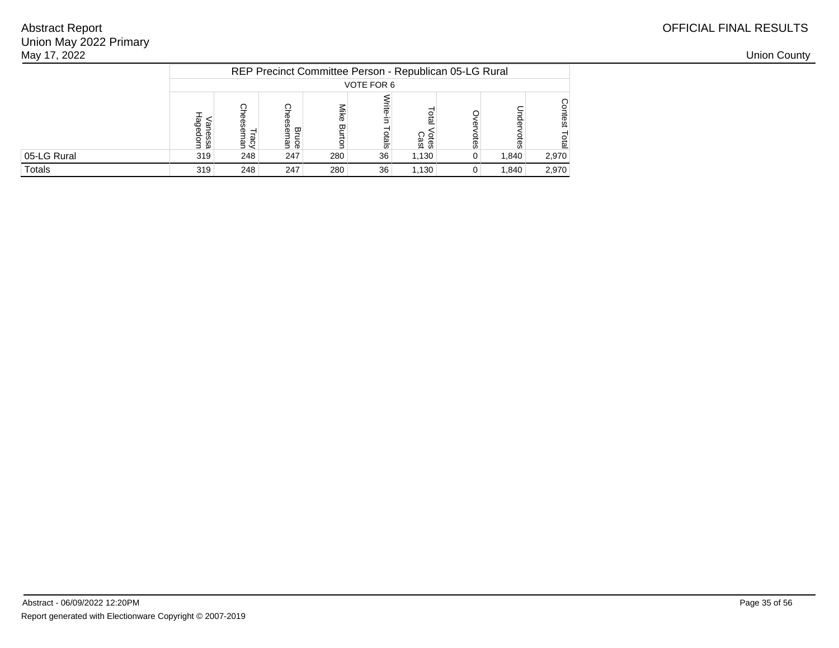| May 17, 2022 |                   |      |                                   |     |            |               |                                                        |       |       |  | <b>Union County</b> |
|--------------|-------------------|------|-----------------------------------|-----|------------|---------------|--------------------------------------------------------|-------|-------|--|---------------------|
|              |                   |      |                                   |     |            |               | REP Precinct Committee Person - Republican 05-LG Rural |       |       |  |                     |
|              |                   |      |                                   |     | VOTE FOR 6 |               |                                                        |       |       |  |                     |
|              | anes<br>န္စ<br>ãΕ | न के | $\mathbf{\overline{w}}$<br>မှု ဇွ | ᡂ   | <u>ia</u>  | Votes<br>Cast |                                                        |       |       |  |                     |
| 05-LG Rural  | 319               | 248  | 247                               | 280 | 36         | 1,130         |                                                        | 1,840 | 2,970 |  |                     |
| Totals       | 319               | 248  | 247                               | 280 | 36         | 1,130         |                                                        | 1,840 | 2,970 |  |                     |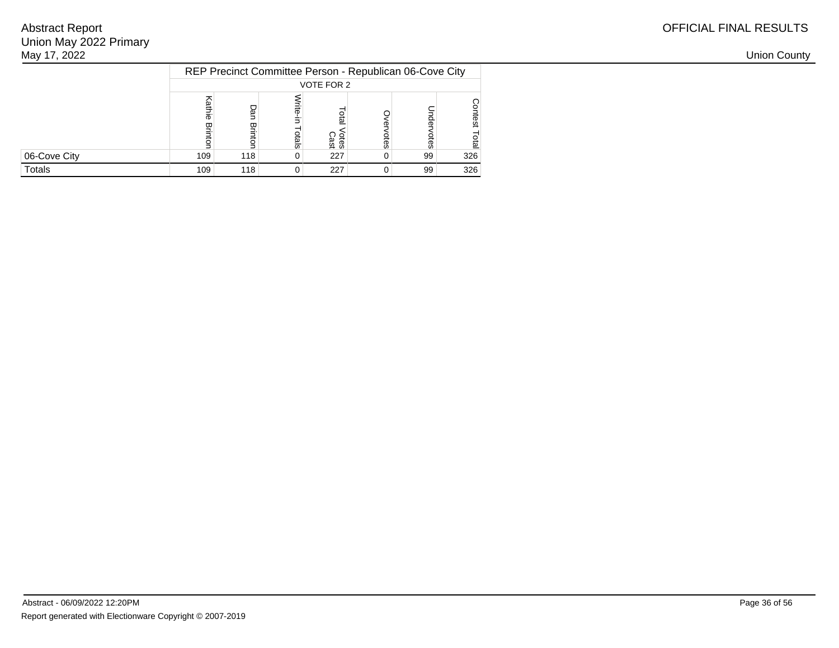| May 17, 2022 |     |     |     |                                                         |   |    |     |
|--------------|-----|-----|-----|---------------------------------------------------------|---|----|-----|
|              |     |     |     | REP Precinct Committee Person - Republican 06-Cove City |   |    |     |
|              |     |     |     | VOTE FOR 2                                              |   |    |     |
|              | Ф   | ヮ   | als | leio<br><b>Cast</b><br>Cast                             | Œ |    |     |
| 06-Cove City | 109 | 118 | 0   | 227                                                     |   | 99 | 326 |
| Totals       | 109 | 118 | 0   | 227                                                     |   | 99 | 326 |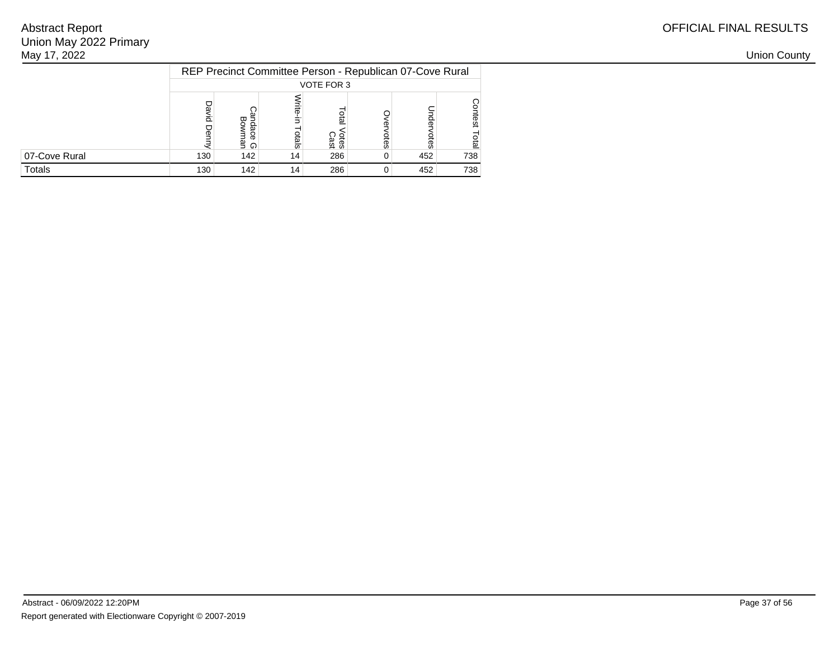| May 17, 2022  |     |            |                                                          |                            |   |     |     |
|---------------|-----|------------|----------------------------------------------------------|----------------------------|---|-----|-----|
|               |     |            | REP Precinct Committee Person - Republican 07-Cove Rural |                            |   |     |     |
|               |     |            |                                                          | VOTE FOR 3                 |   |     |     |
|               |     | ᇴ<br>ട് റ  | als                                                      | <b>Gig</b><br><b>Cries</b> | Ö |     |     |
| 07-Cove Rural | 130 | 142        | 14 <sub>1</sub>                                          | 286                        | 0 | 452 | 738 |
| Totals        | 130 | $142 \mid$ | 14 <sub>1</sub>                                          | 286                        |   | 452 | 738 |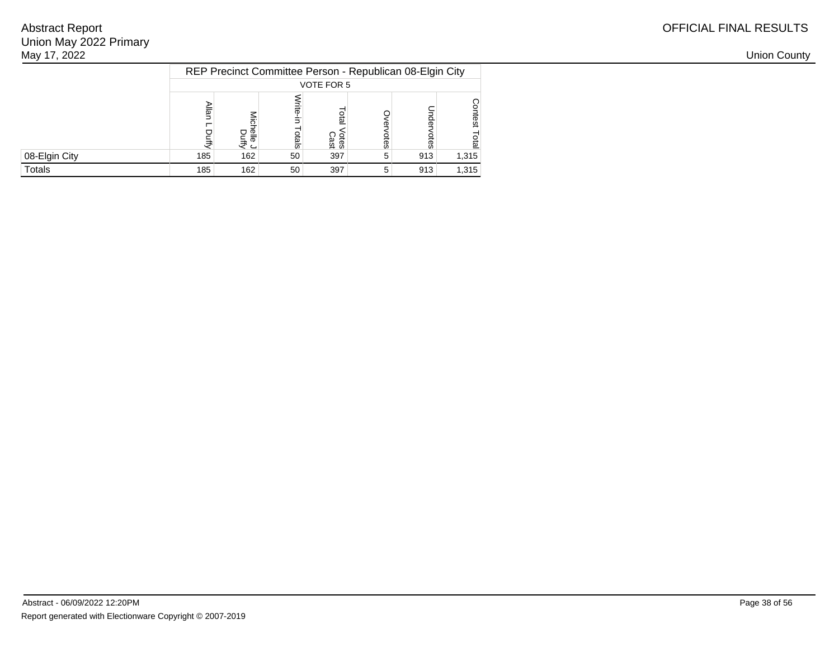| May 17, 2022  |     |                  |               |                                                          |    |     |       |
|---------------|-----|------------------|---------------|----------------------------------------------------------|----|-----|-------|
|               |     |                  |               | REP Precinct Committee Person - Republican 08-Elgin City |    |     |       |
|               |     |                  |               | VOTE FOR 5                                               |    |     |       |
|               |     | 입들<br>きこ         | $\frac{1}{8}$ | <b>DEB</b><br><b>Cast</b><br>Cast                        | ஓ  |     |       |
| 08-Elgin City | 185 | 162              | 50            | 397                                                      | -5 | 913 | 1,315 |
| Totals        | 185 | 162 <sub>1</sub> | 50            | 397                                                      | -5 | 913 | 1,315 |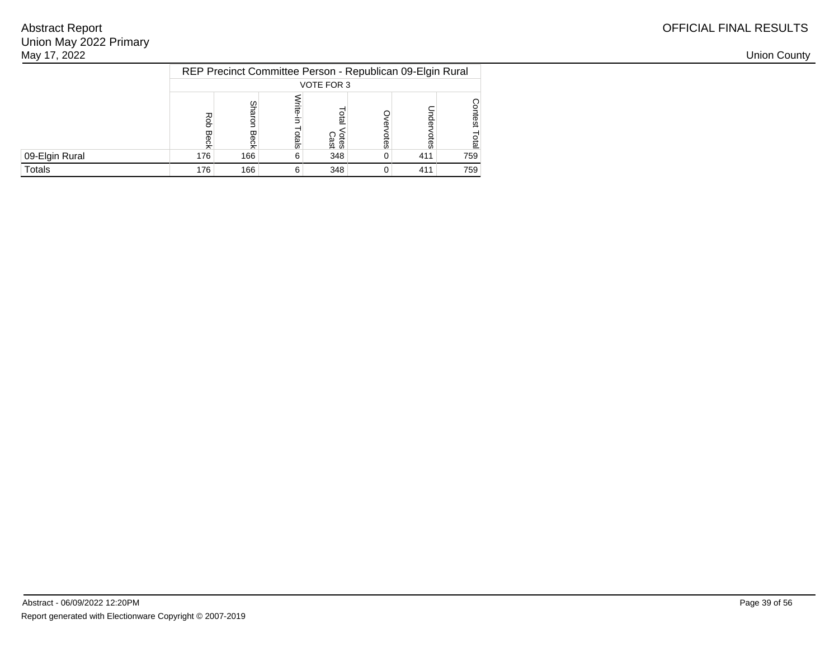| May 17, 2022   |     |               |     |                                                           |     |     |
|----------------|-----|---------------|-----|-----------------------------------------------------------|-----|-----|
|                |     |               |     | REP Precinct Committee Person - Republican 09-Elgin Rural |     |     |
|                |     |               |     | VOTE FOR 3                                                |     |     |
|                |     | ς<br>aro<br>ᡂ | als | 요<br>교<br><b>Cass</b><br>Cast                             |     |     |
| 09-Elgin Rural | 176 | 166           | 6   | 348                                                       | 411 | 759 |
| Totals         | 176 | 166           | h   | 348                                                       | 411 | 759 |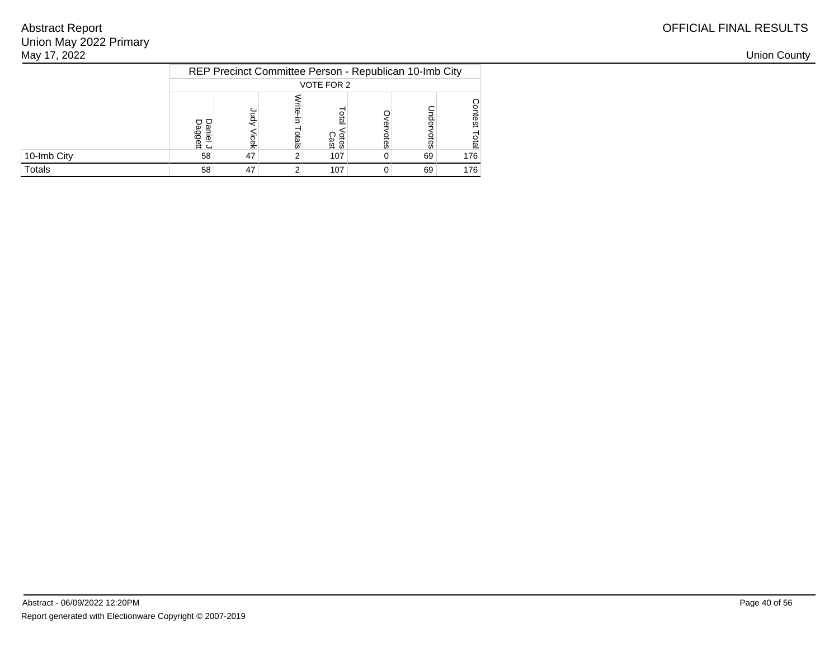| May 17, 2022 |                                    |                                                        |     |                     |          |    |     |
|--------------|------------------------------------|--------------------------------------------------------|-----|---------------------|----------|----|-----|
|              |                                    | REP Precinct Committee Person - Republican 10-Imb City |     |                     |          |    |     |
|              |                                    |                                                        |     | VOTE FOR 2          |          |    |     |
|              | o ō<br>ω<br>ل <del>ان</del><br>گاو |                                                        | als | នី<br>Votes<br>Cast | Ö        |    |     |
| 10-Imb City  | 58                                 | 47                                                     |     | 107                 | 0        | 69 | 176 |
| Totals       | 58                                 | 47                                                     |     | 107                 | $\Omega$ | 69 | 176 |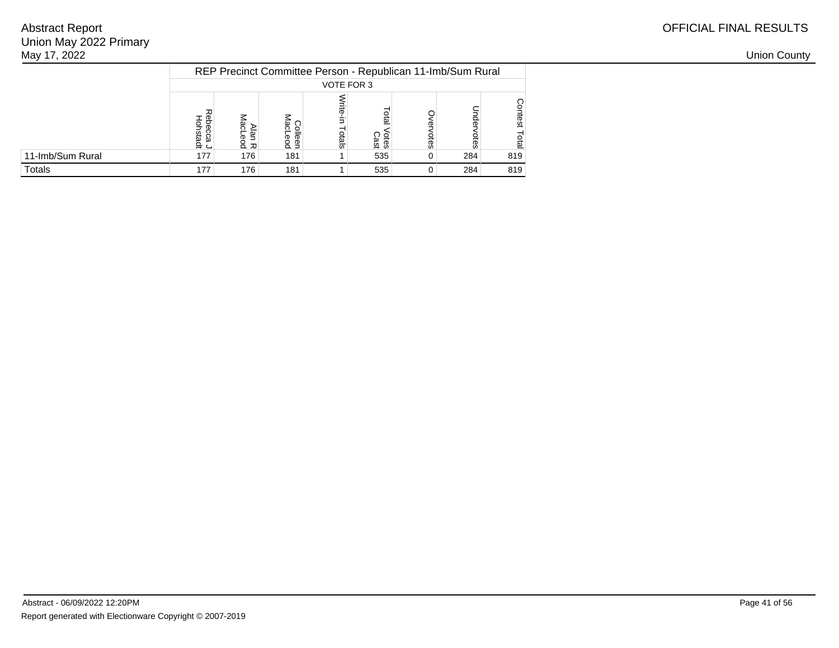| May 17, 2022     |                   |     |          |            |                                                             |     |     |     | <b>Union County</b> |
|------------------|-------------------|-----|----------|------------|-------------------------------------------------------------|-----|-----|-----|---------------------|
|                  |                   |     |          |            | REP Precinct Committee Person - Republican 11-Imb/Sum Rural |     |     |     |                     |
|                  |                   |     |          | VOTE FOR 3 |                                                             |     |     |     |                     |
|                  | <u>ு ந</u><br>요 근 | 효   | Б<br>ڌ ه | otals      | <b>Otes</b>                                                 | စ္ဟ |     |     |                     |
| 11-Imb/Sum Rural | 177               | 176 | 181      |            | 535                                                         | 0   | 284 | 819 |                     |
| Totals           | 177               | 176 | 181      |            | 535                                                         | 0   | 284 | 819 |                     |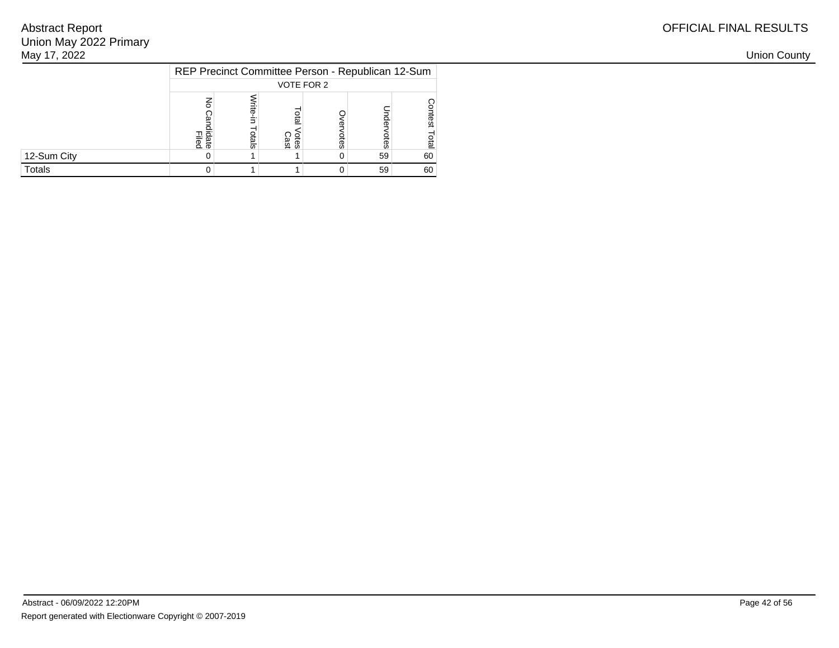| May 17, 2022 |                |       |                     |                                                   |    |    |
|--------------|----------------|-------|---------------------|---------------------------------------------------|----|----|
|              |                |       |                     | REP Precinct Committee Person - Republican 12-Sum |    |    |
|              |                |       |                     | VOTE FOR 2                                        |    |    |
|              | Filed<br>Filed | otals | <b>Cast</b><br>Cast | 8                                                 |    |    |
| 12-Sum City  |                |       |                     | 0                                                 | 59 | 60 |
| Totals       |                |       |                     | 0                                                 | 59 | 60 |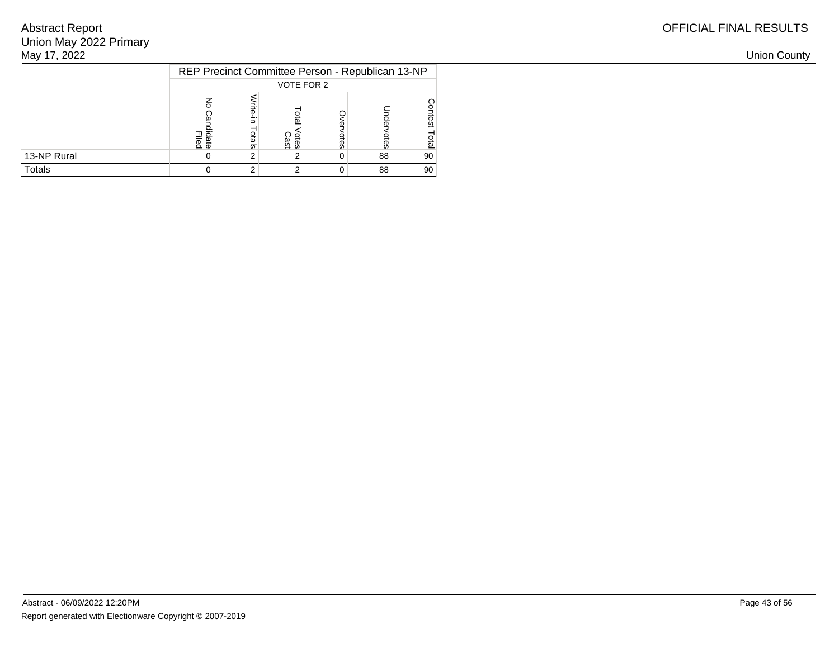| May 17, 2022 |                                                  |       |              |   |    |    |
|--------------|--------------------------------------------------|-------|--------------|---|----|----|
|              | REP Precinct Committee Person - Republican 13-NP |       |              |   |    |    |
|              |                                                  |       | VOTE FOR 2   |   |    |    |
|              | 그 효<br>& ಹಿ                                      | otals | Otes<br>Cast | œ |    |    |
| 13-NP Rural  |                                                  |       |              | 0 | 88 | 90 |
| Totals       |                                                  |       |              | 0 | 88 | 90 |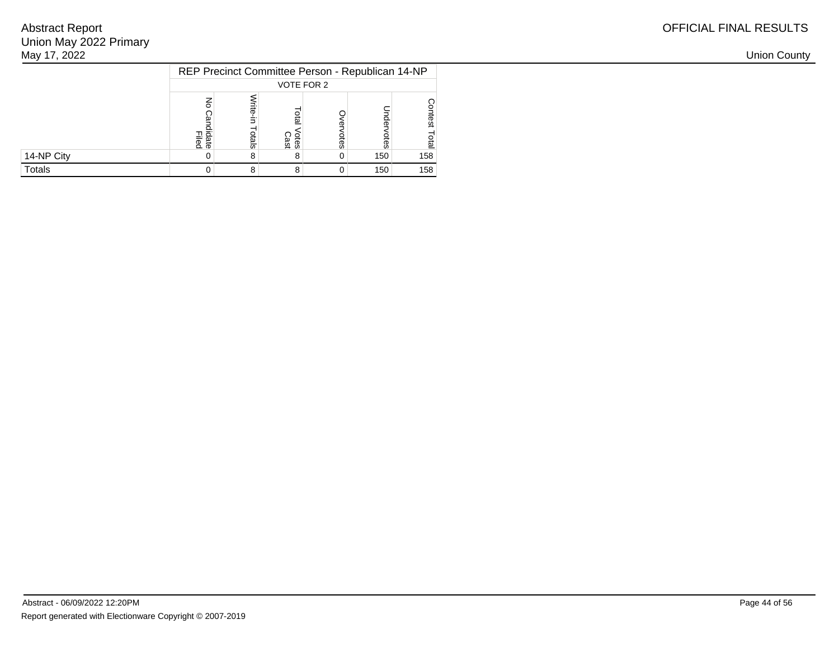| May 17, 2022 |                 |       |                     |                                                  |     |     |
|--------------|-----------------|-------|---------------------|--------------------------------------------------|-----|-----|
|              |                 |       |                     | REP Precinct Committee Person - Republican 14-NP |     |     |
|              |                 |       | VOTE FOR 2          |                                                  |     |     |
|              | lidate<br>Filed | otals | <b>Cast</b><br>Cast | ĝ3                                               |     |     |
| 14-NP City   |                 |       | o                   | 0                                                | 150 | 158 |
| Totals       |                 |       |                     | 0                                                | 150 | 158 |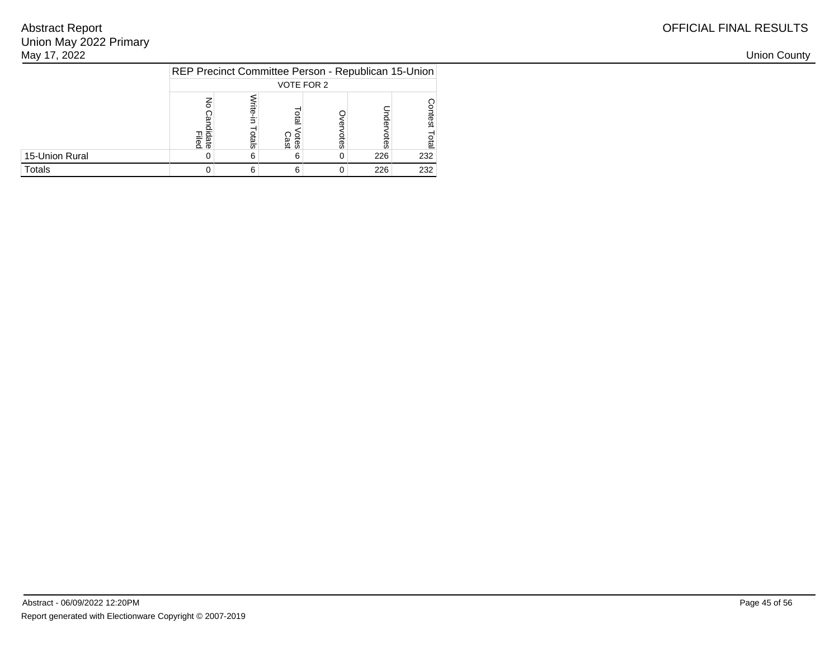| May 17, 2022   |                                                     |       |                     |            |     |     |
|----------------|-----------------------------------------------------|-------|---------------------|------------|-----|-----|
|                | REP Precinct Committee Person - Republican 15-Union |       |                     |            |     |     |
|                |                                                     |       |                     | VOTE FOR 2 |     |     |
|                | Filed<br>Filed                                      | otals | <b>Cast</b><br>Cast |            |     |     |
| 15-Union Rural |                                                     |       | ь                   | ပ္တ<br>0   | 226 | 232 |
| Totals         |                                                     |       |                     | 0          | 226 | 232 |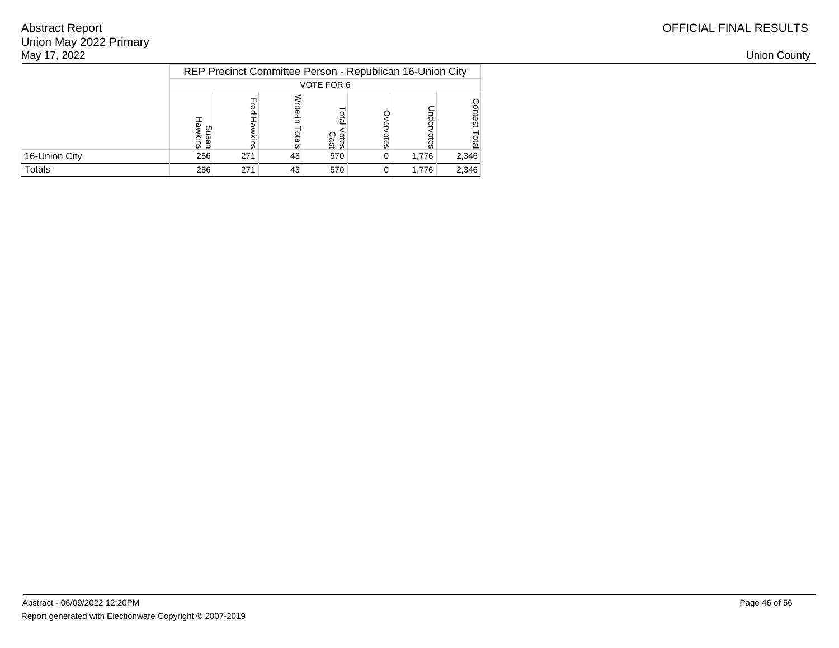| May 17, 2022  |     |     |       |                                                          |                |       |       |
|---------------|-----|-----|-------|----------------------------------------------------------|----------------|-------|-------|
|               |     |     |       | REP Precinct Committee Person - Republican 16-Union City |                |       |       |
|               |     |     |       | VOTE FOR 6                                               |                |       |       |
|               | ທ⊐  |     | otals | otal<br>/otes<br>Cast                                    | တ္တ            |       |       |
| 16-Union City | 256 | 271 | 43    | 570                                                      | $\overline{0}$ | 1,776 | 2,346 |
| Totals        | 256 | 271 | 43    | 570                                                      | 0 <sup>1</sup> | 1,776 | 2,346 |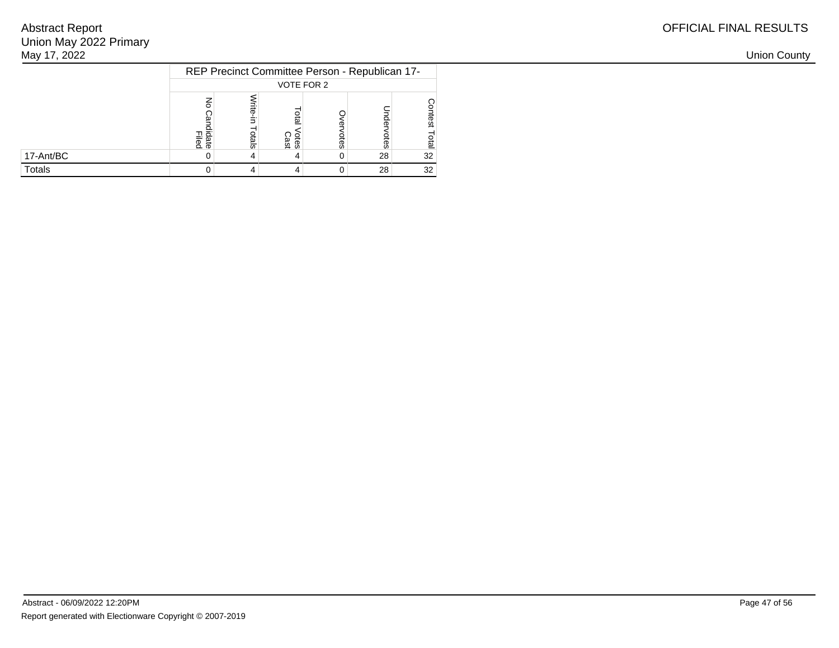| OFFICIAL FINAL RESULTS |
|------------------------|
|------------------------|

| May 17, 2022 |                |       |                     |                                                |    |    |
|--------------|----------------|-------|---------------------|------------------------------------------------|----|----|
|              |                |       | VOTE FOR 2          | REP Precinct Committee Person - Republican 17- |    |    |
|              | Filed<br>Filed | otals | <b>Cast</b><br>Cast | ပ္တ                                            |    |    |
| 17-Ant/BC    |                |       |                     | 0                                              | 28 | 32 |
| Totals       |                |       |                     | 0                                              | 28 | 32 |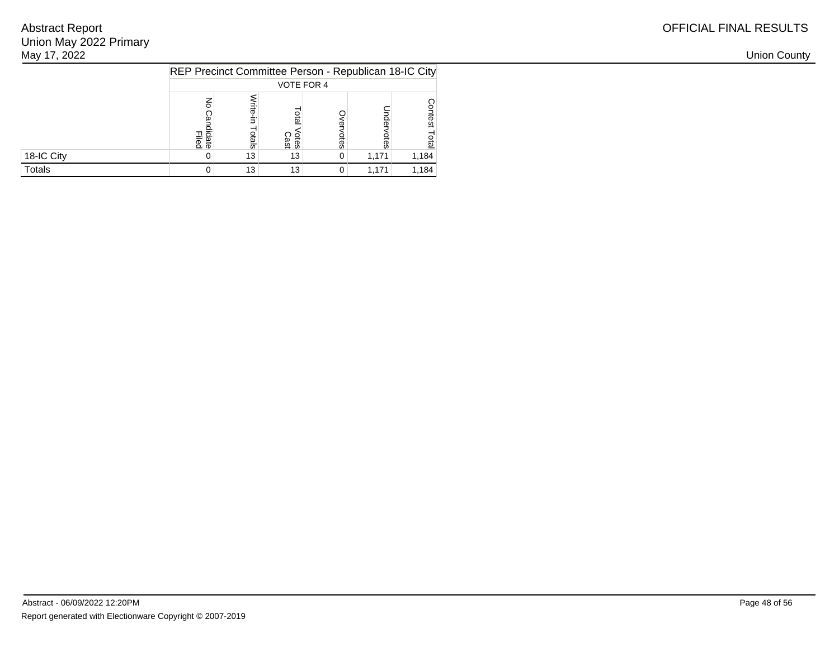| May 17, 2022 |                  |                                                       |              |                |       |       |  |  |  |
|--------------|------------------|-------------------------------------------------------|--------------|----------------|-------|-------|--|--|--|
|              |                  | REP Precinct Committee Person - Republican 18-IC City |              |                |       |       |  |  |  |
|              | VOTE FOR 4       |                                                       |              |                |       |       |  |  |  |
|              | пā<br>aied<br>이후 | چ<br>8                                                | Otes<br>Cast | otes           |       |       |  |  |  |
| 18-IC City   |                  | 13 <sub>1</sub>                                       | 13           | $\overline{0}$ | 1,171 | 1,184 |  |  |  |
| Totals       |                  | 13 <sup>1</sup>                                       | 13           | 0 <sup>1</sup> | 1,171 | 1,184 |  |  |  |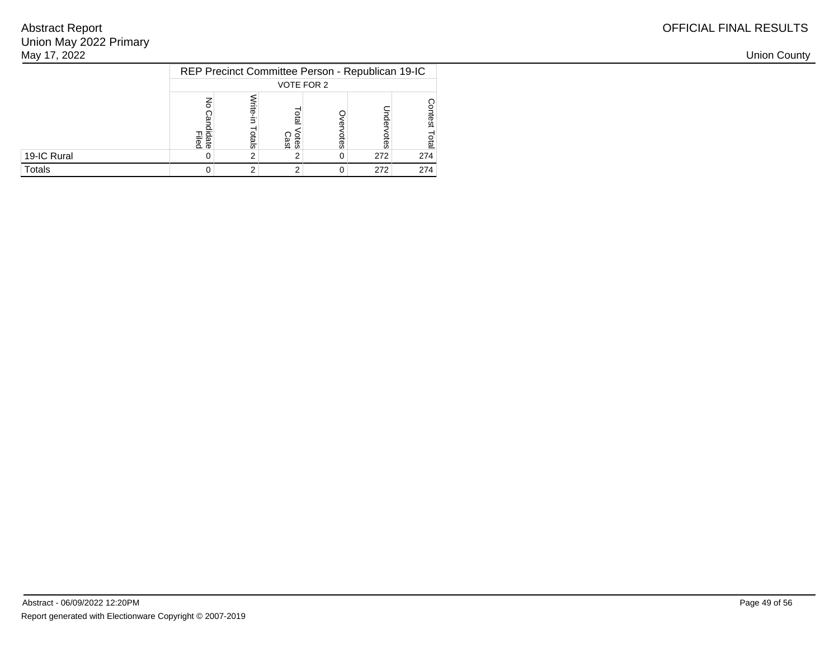| May 17, 2022 |                |                                                  |                     |   |     |     |  |  |
|--------------|----------------|--------------------------------------------------|---------------------|---|-----|-----|--|--|
|              |                | REP Precinct Committee Person - Republican 19-IC |                     |   |     |     |  |  |
|              |                | VOTE FOR 2                                       |                     |   |     |     |  |  |
|              | Filed<br>Filed | otals                                            | <b>Cast</b><br>Cast | 8 |     |     |  |  |
| 19-IC Rural  |                |                                                  |                     | 0 | 272 | 274 |  |  |
| Totals       |                |                                                  |                     | 0 | 272 | 274 |  |  |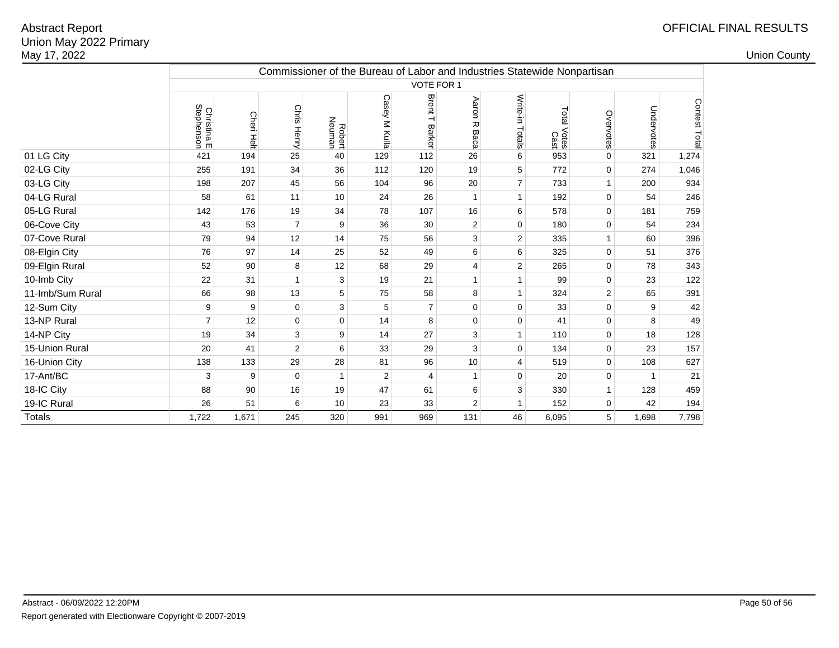|                  | Commissioner of the Bureau of Labor and Industries Statewide Nonpartisan |                      |                |                  |                |                   |                    |                 |                        |                |              |               |
|------------------|--------------------------------------------------------------------------|----------------------|----------------|------------------|----------------|-------------------|--------------------|-----------------|------------------------|----------------|--------------|---------------|
|                  | VOTE FOR 1                                                               |                      |                |                  |                |                   |                    |                 |                        |                |              |               |
|                  | Christina E<br>Stephenson                                                | Cheri<br><b>Helt</b> | Chris Henry    | Robert<br>Neuman | Casey M Kulla  | Brent T<br>Barker | Aaron<br>观<br>Baca | Write-in Totals | Total<br>Votes<br>Cast | Overvotes      | Undervotes   | Contest Total |
| 01 LG City       | 421                                                                      | 194                  | 25             | 40               | 129            | 112               | 26                 | 6               | 953                    | $\mathbf 0$    | 321          | 1,274         |
| 02-LG City       | 255                                                                      | 191                  | 34             | 36               | 112            | 120               | 19                 | 5               | 772                    | $\mathbf 0$    | 274          | 1,046         |
| 03-LG City       | 198                                                                      | 207                  | 45             | 56               | 104            | 96                | 20                 | $\overline{7}$  | 733                    | $\mathbf{1}$   | 200          | 934           |
| 04-LG Rural      | 58                                                                       | 61                   | 11             | 10               | 24             | 26                | $\mathbf{1}$       | $\mathbf{1}$    | 192                    | $\mathbf 0$    | 54           | 246           |
| 05-LG Rural      | 142                                                                      | 176                  | 19             | 34               | 78             | 107               | 16                 | 6               | 578                    | $\mathbf 0$    | 181          | 759           |
| 06-Cove City     | 43                                                                       | 53                   | $\overline{7}$ | 9                | 36             | 30                | $\overline{c}$     | $\mathbf 0$     | 180                    | $\mathbf 0$    | 54           | 234           |
| 07-Cove Rural    | 79                                                                       | 94                   | 12             | 14               | 75             | 56                | 3                  | $\overline{c}$  | 335                    | $\mathbf{1}$   | 60           | 396           |
| 08-Elgin City    | 76                                                                       | 97                   | 14             | 25               | 52             | 49                | 6                  | 6               | 325                    | $\mathbf 0$    | 51           | 376           |
| 09-Elgin Rural   | 52                                                                       | 90                   | 8              | 12               | 68             | 29                | $\overline{4}$     | $\overline{2}$  | 265                    | $\mathbf 0$    | 78           | 343           |
| 10-Imb City      | 22                                                                       | 31                   | 1              | 3                | 19             | 21                | $\mathbf{1}$       | $\mathbf{1}$    | 99                     | $\mathbf 0$    | 23           | 122           |
| 11-Imb/Sum Rural | 66                                                                       | 98                   | 13             | 5                | 75             | 58                | 8                  | $\mathbf{1}$    | 324                    | $\overline{2}$ | 65           | 391           |
| 12-Sum City      | 9                                                                        | 9                    | 0              | 3                | 5              | $\overline{7}$    | $\mathbf 0$        | 0               | 33                     | $\mathbf 0$    | 9            | 42            |
| 13-NP Rural      | $\overline{7}$                                                           | 12                   | $\Omega$       | $\mathbf 0$      | 14             | 8                 | $\mathbf 0$        | $\mathbf 0$     | 41                     | $\Omega$       | 8            | 49            |
| 14-NP City       | 19                                                                       | 34                   | 3              | 9                | 14             | 27                | 3                  | $\mathbf{1}$    | 110                    | $\mathbf 0$    | 18           | 128           |
| 15-Union Rural   | 20                                                                       | 41                   | $\overline{2}$ | 6                | 33             | 29                | 3                  | $\mathbf 0$     | 134                    | 0              | 23           | 157           |
| 16-Union City    | 138                                                                      | 133                  | 29             | 28               | 81             | 96                | 10                 | 4               | 519                    | $\pmb{0}$      | 108          | 627           |
| 17-Ant/BC        | 3                                                                        | 9                    | 0              | $\overline{1}$   | $\overline{2}$ | $\overline{4}$    | $\mathbf{1}$       | $\mathbf 0$     | 20                     | 0              | $\mathbf{1}$ | 21            |
| 18-IC City       | 88                                                                       | 90                   | 16             | 19               | 47             | 61                | 6                  | 3               | 330                    | $\mathbf{1}$   | 128          | 459           |
| 19-IC Rural      | 26                                                                       | 51                   | 6              | 10               | 23             | 33                | $\overline{2}$     | $\mathbf{1}$    | 152                    | 0              | 42           | 194           |
| <b>Totals</b>    | 1,722                                                                    | 1,671                | 245            | 320              | 991            | 969               | 131                | 46              | 6,095                  | 5              | 1,698        | 7,798         |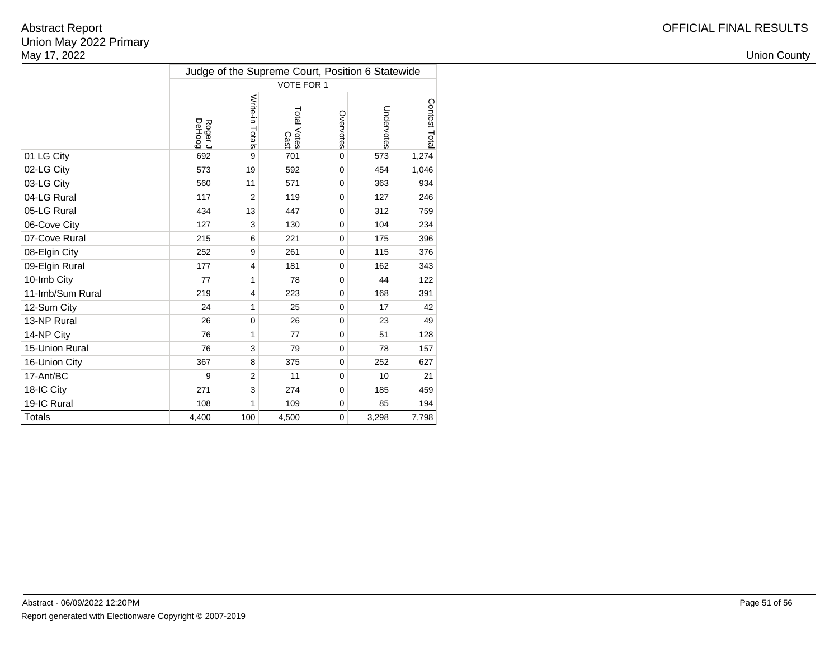|                  | Judge of the Supreme Court, Position 6 Statewide |                 |                     |             |            |               |  |  |  |  |  |
|------------------|--------------------------------------------------|-----------------|---------------------|-------------|------------|---------------|--|--|--|--|--|
|                  |                                                  |                 | VOTE FOR 1          |             |            |               |  |  |  |  |  |
|                  | Roger J<br>DeHoog                                | Write-in Totals | Total Votes<br>Cast | Overvotes   | Undervotes | Contest Total |  |  |  |  |  |
| 01 LG City       | 692                                              | 9               | 701                 | $\mathbf 0$ | 573        | 1,274         |  |  |  |  |  |
| 02-LG City       | 573                                              | 19              | 592                 | $\mathbf 0$ | 454        | 1,046         |  |  |  |  |  |
| 03-LG City       | 560                                              | 11              | 571                 | $\Omega$    | 363        | 934           |  |  |  |  |  |
| 04-LG Rural      | 117                                              | $\overline{2}$  | 119                 | $\mathbf 0$ | 127        | 246           |  |  |  |  |  |
| 05-LG Rural      | 434                                              | 13              | 447                 | 0           | 312        | 759           |  |  |  |  |  |
| 06-Cove City     | 127                                              | 3               | 130                 | $\mathbf 0$ | 104        | 234           |  |  |  |  |  |
| 07-Cove Rural    | 215                                              | 6               | 221                 | $\mathbf 0$ | 175        | 396           |  |  |  |  |  |
| 08-Elgin City    | 252                                              | 9               | 261                 | $\mathbf 0$ | 115        | 376           |  |  |  |  |  |
| 09-Elgin Rural   | 177                                              | $\overline{4}$  | 181                 | $\mathbf 0$ | 162        | 343           |  |  |  |  |  |
| 10-Imb City      | 77                                               | 1               | 78                  | $\Omega$    | 44         | 122           |  |  |  |  |  |
| 11-Imb/Sum Rural | 219                                              | $\overline{4}$  | 223                 | $\mathbf 0$ | 168        | 391           |  |  |  |  |  |
| 12-Sum City      | 24                                               | 1               | 25                  | 0           | 17         | 42            |  |  |  |  |  |
| 13-NP Rural      | 26                                               | $\mathbf 0$     | 26                  | $\mathbf 0$ | 23         | 49            |  |  |  |  |  |
| 14-NP City       | 76                                               | $\mathbf{1}$    | 77                  | $\mathbf 0$ | 51         | 128           |  |  |  |  |  |
| 15-Union Rural   | 76                                               | 3               | 79                  | $\mathbf 0$ | 78         | 157           |  |  |  |  |  |
| 16-Union City    | 367                                              | 8               | 375                 | $\mathbf 0$ | 252        | 627           |  |  |  |  |  |
| 17-Ant/BC        | 9                                                | $\overline{2}$  | 11                  | $\mathbf 0$ | 10         | 21            |  |  |  |  |  |
| 18-IC City       | 271                                              | 3               | 274                 | $\mathbf 0$ | 185        | 459           |  |  |  |  |  |
| 19-IC Rural      | 108                                              | 1               | 109                 | $\mathbf 0$ | 85         | 194           |  |  |  |  |  |
| <b>Totals</b>    | 4,400                                            | 100             | 4,500               | $\mathbf 0$ | 3,298      | 7,798         |  |  |  |  |  |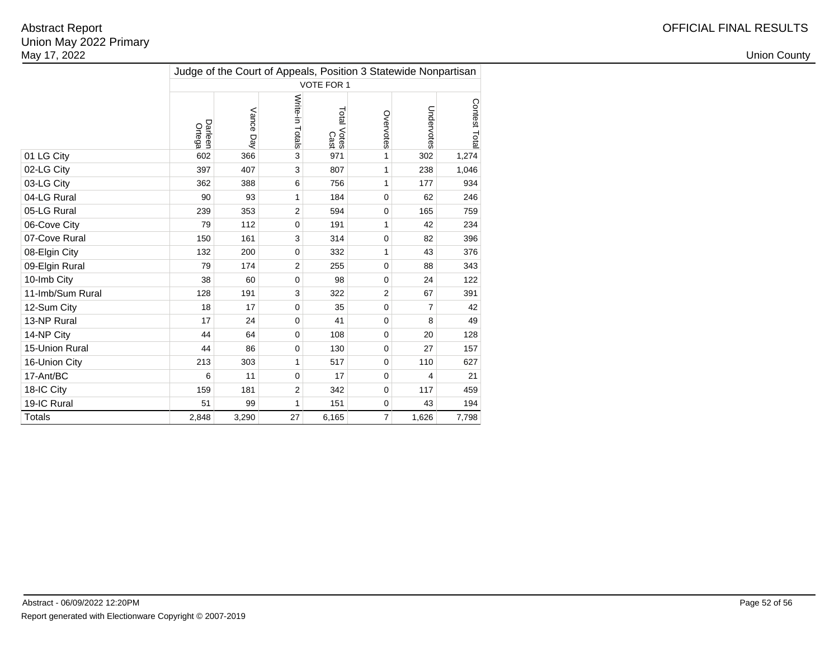|                  | Judge of the Court of Appeals, Position 3 Statewide Nonpartisan |              |                 |                     |                |            |              |  |  |  |  |  |  |
|------------------|-----------------------------------------------------------------|--------------|-----------------|---------------------|----------------|------------|--------------|--|--|--|--|--|--|
|                  |                                                                 |              |                 | VOTE FOR 1          |                |            |              |  |  |  |  |  |  |
|                  | Darleen<br>Ortega                                               | Vance<br>Day | Write-in Totals | Total Votes<br>Cast | Overvotes      | Undervotes | Contest Tota |  |  |  |  |  |  |
| 01 LG City       | 602                                                             | 366          | 3               | 971                 | 1              | 302        | 1,274        |  |  |  |  |  |  |
| 02-LG City       | 397                                                             | 407          | 3               | 807                 | 1              | 238        | 1,046        |  |  |  |  |  |  |
| 03-LG City       | 362                                                             | 388          | 6               | 756                 | 1              | 177        | 934          |  |  |  |  |  |  |
| 04-LG Rural      | 90                                                              | 93           | 1               | 184                 | $\Omega$       | 62         | 246          |  |  |  |  |  |  |
| 05-LG Rural      | 239                                                             | 353          | $\overline{2}$  | 594                 | $\mathbf 0$    | 165        | 759          |  |  |  |  |  |  |
| 06-Cove City     | 79                                                              | 112          | $\mathbf 0$     | 191                 | 1              | 42         | 234          |  |  |  |  |  |  |
| 07-Cove Rural    | 150                                                             | 161          | 3               | 314                 | 0              | 82         | 396          |  |  |  |  |  |  |
| 08-Elgin City    | 132                                                             | 200          | $\mathbf 0$     | 332                 | 1              | 43         | 376          |  |  |  |  |  |  |
| 09-Elgin Rural   | 79                                                              | 174          | $\overline{2}$  | 255                 | 0              | 88         | 343          |  |  |  |  |  |  |
| 10-Imb City      | 38                                                              | 60           | $\mathbf 0$     | 98                  | 0              | 24         | 122          |  |  |  |  |  |  |
| 11-Imb/Sum Rural | 128                                                             | 191          | 3               | 322                 | $\overline{2}$ | 67         | 391          |  |  |  |  |  |  |
| 12-Sum City      | 18                                                              | 17           | $\mathbf 0$     | 35                  | 0              | 7          | 42           |  |  |  |  |  |  |
| 13-NP Rural      | 17                                                              | 24           | $\mathbf 0$     | 41                  | $\Omega$       | 8          | 49           |  |  |  |  |  |  |
| 14-NP City       | 44                                                              | 64           | $\mathbf 0$     | 108                 | 0              | 20         | 128          |  |  |  |  |  |  |
| 15-Union Rural   | 44                                                              | 86           | $\mathbf 0$     | 130                 | 0              | 27         | 157          |  |  |  |  |  |  |
| 16-Union City    | 213                                                             | 303          | 1               | 517                 | 0              | 110        | 627          |  |  |  |  |  |  |
| 17-Ant/BC        | 6                                                               | 11           | $\mathbf 0$     | 17                  | 0              | 4          | 21           |  |  |  |  |  |  |
| 18-IC City       | 159                                                             | 181          | 2               | 342                 | 0              | 117        | 459          |  |  |  |  |  |  |
| 19-IC Rural      | 51                                                              | 99           | 1               | 151                 | 0              | 43         | 194          |  |  |  |  |  |  |
| <b>Totals</b>    | 2,848                                                           | 3,290        | 27              | 6,165               | $\overline{7}$ | 1,626      | 7,798        |  |  |  |  |  |  |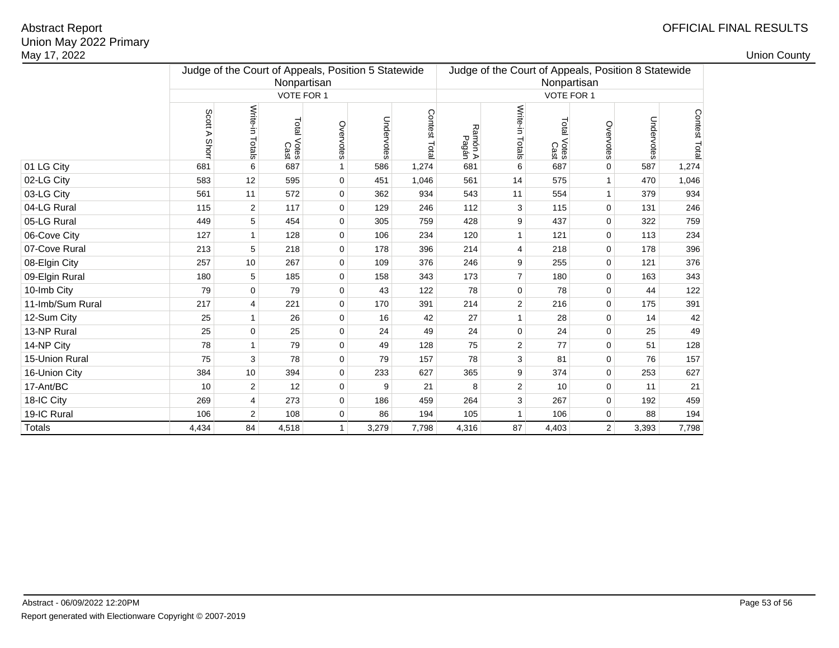|                                                                                  |                    |       |                |            |                                                                    |       |                  |                    |               |            |              | <b>Union County</b> |
|----------------------------------------------------------------------------------|--------------------|-------|----------------|------------|--------------------------------------------------------------------|-------|------------------|--------------------|---------------|------------|--------------|---------------------|
| Judge of the Court of Appeals, Position 5 Statewide<br>Nonpartisan<br>VOTE FOR 1 |                    |       |                |            | Judge of the Court of Appeals, Position 8 Statewide<br>Nonpartisan |       |                  |                    |               |            |              |                     |
|                                                                                  |                    |       |                |            | VOTE FOR 1                                                         |       |                  |                    |               |            |              |                     |
| Scott<br>⋗<br>Shor                                                               | Write-in<br>Totals | Total | Overvotes      | Undervotes | Contest Tota                                                       |       |                  | Total              | Overvotes     | Undervotes | Contest Tota |                     |
| 681                                                                              | 6                  | 687   | $\mathbf{1}$   | 586        | 1,274                                                              | 681   | 6                | 687                | $\mathbf 0$   | 587        | 1,274        |                     |
| 583                                                                              | 12                 | 595   | $\mathbf 0$    | 451        | 1,046                                                              | 561   | 14               | 575                | $\mathbf{1}$  | 470        | 1,046        |                     |
| 561                                                                              | 11                 | 572   | 0              | 362        | 934                                                                | 543   | 11               | 554                | 1             | 379        | 934          |                     |
| 115                                                                              | $\overline{2}$     | 117   | $\mathbf 0$    | 129        | 246                                                                | 112   | 3                | 115                | $\mathbf 0$   | 131        | 246          |                     |
| 449                                                                              | 5                  | 454   | 0              | 305        | 759                                                                | 428   | 9                | 437                | 0             | 322        | 759          |                     |
| 127                                                                              | $\mathbf{1}$       | 128   | $\mathbf 0$    | 106        | 234                                                                | 120   | $\mathbf{1}$     | 121                | $\mathbf 0$   | 113        | 234          |                     |
| 213                                                                              | 5                  | 218   | $\mathbf 0$    | 178        | 396                                                                | 214   | 4                | 218                | $\mathbf 0$   | 178        | 396          |                     |
| 257                                                                              | 10                 | 267   | $\mathbf 0$    | 109        | 376                                                                | 246   | 9                | 255                | 0             | 121        | 376          |                     |
| 180                                                                              | 5                  | 185   | 0              | 158        | 343                                                                | 173   | $\overline{7}$   | 180                | $\mathbf 0$   | 163        | 343          |                     |
| 79                                                                               | $\mathbf 0$        | 79    | $\mathbf 0$    | 43         | 122                                                                | 78    | $\mathbf 0$      | 78                 | $\mathbf 0$   | 44         | 122          |                     |
| 217                                                                              | 4                  | 221   | $\mathbf 0$    | 170        | 391                                                                | 214   | 2                | 216                | $\mathbf 0$   | 175        | 391          |                     |
| 25                                                                               | $\mathbf{1}$       | 26    | $\mathbf 0$    | 16         | 42                                                                 | 27    | 1                | 28                 | $\mathbf 0$   | 14         | 42           |                     |
| 25                                                                               | $\mathbf 0$        | 25    | $\mathbf 0$    | 24         | 49                                                                 | 24    | $\mathbf 0$      | 24                 | $\mathbf 0$   | 25         | 49           |                     |
| 78                                                                               | $\mathbf{1}$       | 79    | $\mathbf 0$    | 49         | 128                                                                | 75    | 2                | 77                 | 0             | 51         | 128          |                     |
| 75                                                                               | 3                  | 78    | $\mathbf 0$    | 79         | 157                                                                | 78    | 3                | 81                 | $\mathbf 0$   | 76         | 157          |                     |
| 384                                                                              | 10                 | 394   | $\mathbf 0$    | 233        | 627                                                                | 365   | 9                | 374                | $\mathbf 0$   | 253        | 627          |                     |
| 10                                                                               | $\overline{2}$     | 12    | $\mathbf 0$    | 9          | 21                                                                 | 8     | 2                | 10                 | 0             | 11         | 21           |                     |
| 269                                                                              | 4                  | 273   | $\mathbf 0$    | 186        | 459                                                                | 264   | 3                | 267                | 0             | 192        | 459          |                     |
| 106                                                                              | $\overline{2}$     | 108   | $\mathbf 0$    | 86         | 194                                                                | 105   | $\mathbf{1}$     | 106                | 0             | 88         | 194          |                     |
| 4,434                                                                            | 84                 | 4,518 | 1 <sup>1</sup> | 3,279      | 7,798                                                              | 4,316 | 87               | 4,403              | 2             | 3,393      | 7,798        |                     |
|                                                                                  |                    |       | Votes<br>Cast  |            |                                                                    |       | Ramón A<br>Pagán | Write-in<br>Totals | Votes<br>Cast |            |              |                     |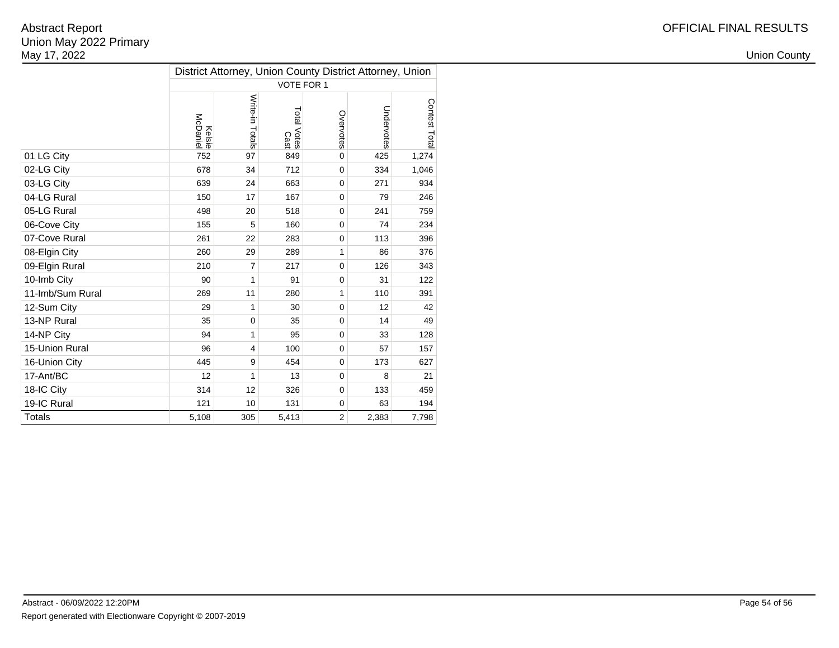|                  | District Attorney, Union County District Attorney, Union |                 |                            |                |            |               |  |  |  |  |
|------------------|----------------------------------------------------------|-----------------|----------------------------|----------------|------------|---------------|--|--|--|--|
|                  |                                                          |                 | VOTE FOR 1                 |                |            |               |  |  |  |  |
|                  | <b>Kelsie</b><br>McDaniel                                | Write-in Totals | Total Votes<br>Total Votes | Overvotes      | Undervotes | Contest Total |  |  |  |  |
| 01 LG City       | 752                                                      | 97              | 849                        | $\mathbf 0$    | 425        | 1,274         |  |  |  |  |
| 02-LG City       | 678                                                      | 34              | 712                        | $\Omega$       | 334        | 1,046         |  |  |  |  |
| 03-LG City       | 639                                                      | 24              | 663                        | $\mathbf 0$    | 271        | 934           |  |  |  |  |
| 04-LG Rural      | 150                                                      | 17              | 167                        | 0              | 79         | 246           |  |  |  |  |
| 05-LG Rural      | 498                                                      | 20              | 518                        | $\mathbf 0$    | 241        | 759           |  |  |  |  |
| 06-Cove City     | 155                                                      | 5               | 160                        | $\Omega$       | 74         | 234           |  |  |  |  |
| 07-Cove Rural    | 261                                                      | 22              | 283                        | $\mathbf 0$    | 113        | 396           |  |  |  |  |
| 08-Elgin City    | 260                                                      | 29              | 289                        | 1              | 86         | 376           |  |  |  |  |
| 09-Elgin Rural   | 210                                                      | $\overline{7}$  | 217                        | $\mathbf 0$    | 126        | 343           |  |  |  |  |
| 10-Imb City      | 90                                                       | 1               | 91                         | $\mathbf 0$    | 31         | 122           |  |  |  |  |
| 11-Imb/Sum Rural | 269                                                      | 11              | 280                        | 1              | 110        | 391           |  |  |  |  |
| 12-Sum City      | 29                                                       | 1               | 30                         | $\mathbf 0$    | 12         | 42            |  |  |  |  |
| 13-NP Rural      | 35                                                       | $\mathbf 0$     | 35                         | $\mathbf 0$    | 14         | 49            |  |  |  |  |
| 14-NP City       | 94                                                       | $\mathbf{1}$    | 95                         | $\mathbf 0$    | 33         | 128           |  |  |  |  |
| 15-Union Rural   | 96                                                       | 4               | 100                        | $\mathbf 0$    | 57         | 157           |  |  |  |  |
| 16-Union City    | 445                                                      | 9               | 454                        | $\mathbf 0$    | 173        | 627           |  |  |  |  |
| 17-Ant/BC        | 12                                                       | 1               | 13                         | $\Omega$       | 8          | 21            |  |  |  |  |
| 18-IC City       | 314                                                      | 12              | 326                        | $\mathbf 0$    | 133        | 459           |  |  |  |  |
| 19-IC Rural      | 121                                                      | 10              | 131                        | $\mathbf 0$    | 63         | 194           |  |  |  |  |
| <b>Totals</b>    | 5,108                                                    | 305             | 5,413                      | $\overline{2}$ | 2,383      | 7,798         |  |  |  |  |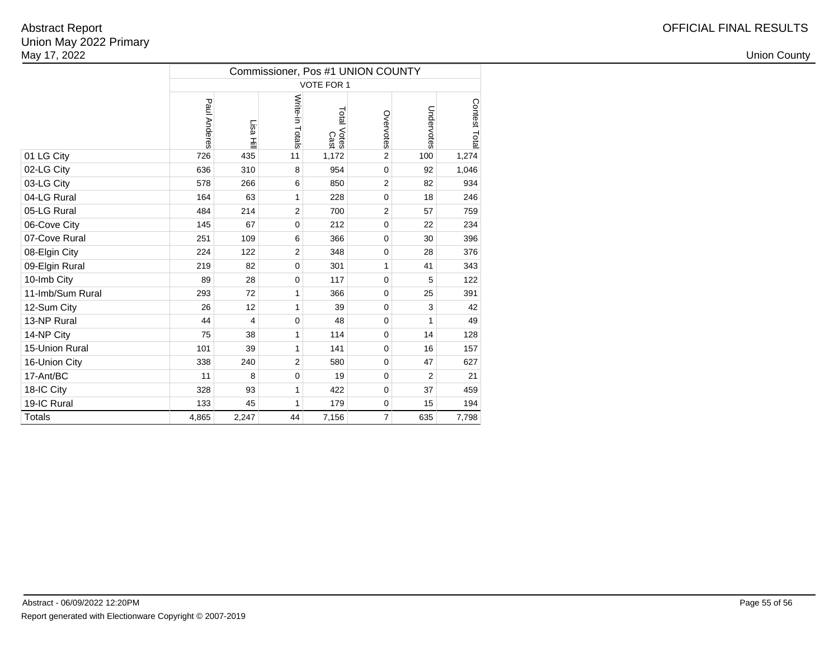|                  | Commissioner, Pos #1 UNION COUNTY |          |                 |                     |                |                |               |  |  |  |  |  |
|------------------|-----------------------------------|----------|-----------------|---------------------|----------------|----------------|---------------|--|--|--|--|--|
|                  |                                   |          |                 | VOTE FOR 1          |                |                |               |  |  |  |  |  |
|                  | Paul Anderes                      | Lisa Hil | Write-in Totals | Total Votes<br>Cast | Overvotes      | Undervotes     | Contest Total |  |  |  |  |  |
| 01 LG City       | 726                               | 435      | 11              | 1,172               | $\overline{2}$ | 100            | 1,274         |  |  |  |  |  |
| 02-LG City       | 636                               | 310      | 8               | 954                 | $\mathbf 0$    | 92             | 1,046         |  |  |  |  |  |
| 03-LG City       | 578                               | 266      | 6               | 850                 | 2              | 82             | 934           |  |  |  |  |  |
| 04-LG Rural      | 164                               | 63       | 1               | 228                 | $\Omega$       | 18             | 246           |  |  |  |  |  |
| 05-LG Rural      | 484                               | 214      | $\overline{2}$  | 700                 | $\overline{2}$ | 57             | 759           |  |  |  |  |  |
| 06-Cove City     | 145                               | 67       | $\mathbf 0$     | 212                 | $\mathbf 0$    | 22             | 234           |  |  |  |  |  |
| 07-Cove Rural    | 251                               | 109      | 6               | 366                 | $\mathbf 0$    | 30             | 396           |  |  |  |  |  |
| 08-Elgin City    | 224                               | 122      | $\overline{2}$  | 348                 | $\mathbf 0$    | 28             | 376           |  |  |  |  |  |
| 09-Elgin Rural   | 219                               | 82       | $\mathbf 0$     | 301                 | 1              | 41             | 343           |  |  |  |  |  |
| 10-Imb City      | 89                                | 28       | 0               | 117                 | $\mathbf 0$    | 5              | 122           |  |  |  |  |  |
| 11-Imb/Sum Rural | 293                               | 72       | 1               | 366                 | 0              | 25             | 391           |  |  |  |  |  |
| 12-Sum City      | 26                                | 12       | $\mathbf{1}$    | 39                  | $\mathbf 0$    | 3              | 42            |  |  |  |  |  |
| 13-NP Rural      | 44                                | 4        | $\mathbf 0$     | 48                  | 0              | 1              | 49            |  |  |  |  |  |
| 14-NP City       | 75                                | 38       | 1               | 114                 | 0              | 14             | 128           |  |  |  |  |  |
| 15-Union Rural   | 101                               | 39       | $\mathbf{1}$    | 141                 | $\mathbf 0$    | 16             | 157           |  |  |  |  |  |
| 16-Union City    | 338                               | 240      | $\overline{2}$  | 580                 | 0              | 47             | 627           |  |  |  |  |  |
| 17-Ant/BC        | 11                                | 8        | $\mathbf 0$     | 19                  | 0              | $\overline{2}$ | 21            |  |  |  |  |  |
| 18-IC City       | 328                               | 93       | 1               | 422                 | $\mathbf 0$    | 37             | 459           |  |  |  |  |  |
| 19-IC Rural      | 133                               | 45       | 1               | 179                 | 0              | 15             | 194           |  |  |  |  |  |
| <b>Totals</b>    | 4,865                             | 2,247    | 44              | 7,156               | $\overline{7}$ | 635            | 7,798         |  |  |  |  |  |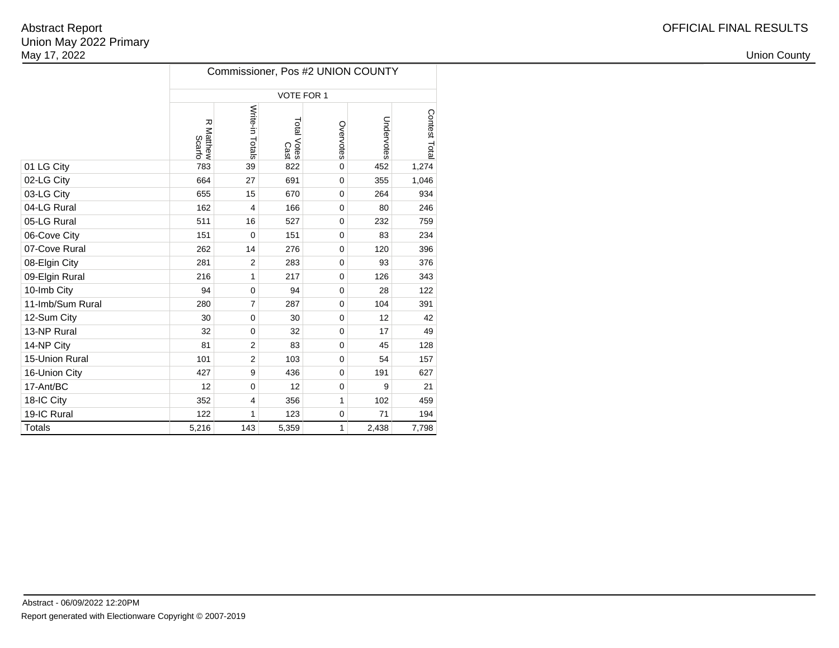| OFFICIAL FINAL RESULTS |
|------------------------|
|------------------------|

|                  | Commissioner, Pos #2 UNION COUNTY |                 |                     |              |            |               |  |  |  |  |  |
|------------------|-----------------------------------|-----------------|---------------------|--------------|------------|---------------|--|--|--|--|--|
|                  |                                   |                 | VOTE FOR 1          |              |            |               |  |  |  |  |  |
|                  | 观<br><b>Natthew</b><br>Scarfo     | Write-in Totals | Total Votes<br>Cast | Overvotes    | Undervotes | Contest Total |  |  |  |  |  |
| 01 LG City       | 783                               | 39              | 822                 | $\Omega$     | 452        | 1,274         |  |  |  |  |  |
| 02-LG City       | 664                               | 27              | 691                 | 0            | 355        | 1,046         |  |  |  |  |  |
| 03-LG City       | 655                               | 15              | 670                 | 0            | 264        | 934           |  |  |  |  |  |
| 04-LG Rural      | 162                               | $\overline{4}$  | 166                 | 0            | 80         | 246           |  |  |  |  |  |
| 05-LG Rural      | 511                               | 16              | 527                 | 0            | 232        | 759           |  |  |  |  |  |
| 06-Cove City     | 151                               | $\mathbf 0$     | 151                 | 0            | 83         | 234           |  |  |  |  |  |
| 07-Cove Rural    | 262                               | 14              | 276                 | 0            | 120        | 396           |  |  |  |  |  |
| 08-Elgin City    | 281                               | $\overline{2}$  | 283                 | $\mathbf 0$  | 93         | 376           |  |  |  |  |  |
| 09-Elgin Rural   | 216                               | 1               | 217                 | 0            | 126        | 343           |  |  |  |  |  |
| 10-Imb City      | 94                                | $\mathbf 0$     | 94                  | 0            | 28         | 122           |  |  |  |  |  |
| 11-Imb/Sum Rural | 280                               | $\overline{7}$  | 287                 | 0            | 104        | 391           |  |  |  |  |  |
| 12-Sum City      | 30                                | $\mathbf 0$     | 30                  | 0            | 12         | 42            |  |  |  |  |  |
| 13-NP Rural      | 32                                | $\mathbf 0$     | 32                  | 0            | 17         | 49            |  |  |  |  |  |
| 14-NP City       | 81                                | $\overline{2}$  | 83                  | $\Omega$     | 45         | 128           |  |  |  |  |  |
| 15-Union Rural   | 101                               | $\overline{2}$  | 103                 | 0            | 54         | 157           |  |  |  |  |  |
| 16-Union City    | 427                               | 9               | 436                 | $\mathbf 0$  | 191        | 627           |  |  |  |  |  |
| 17-Ant/BC        | 12                                | $\mathbf 0$     | 12                  | 0            | 9          | 21            |  |  |  |  |  |
| 18-IC City       | 352                               | $\overline{4}$  | 356                 | 1            | 102        | 459           |  |  |  |  |  |
| 19-IC Rural      | 122                               | 1               | 123                 | 0            | 71         | 194           |  |  |  |  |  |
| <b>Totals</b>    | 5,216                             | 143             | 5,359               | $\mathbf{1}$ | 2,438      | 7,798         |  |  |  |  |  |